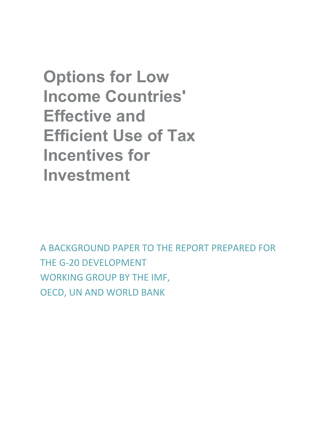**Options for Low Income Countries' Effective and Efficient Use of Tax Incentives for Investment** 

A BACKGROUND PAPER TO THE REPORT PREPARED FOR THE G-20 DEVELOPMENT WORKING GROUP BY THE IMF, OECD, UN AND WORLD BANK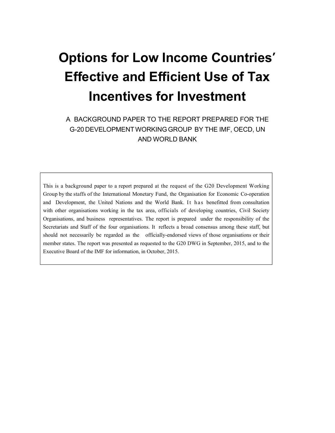# **Options for Low Income Countries' Effective and Efficient Use of Tax Incentives for Investment**

A BACKGROUND PAPER TO THE REPORT PREPARED FOR THE G-20 DEVELOPMENT WORKING GROUP BY THE IMF, OECD, UN AND WORLD BANK

This is a background paper to a report prepared at the request of the G20 Development Working Group by the staffs of the International Monetary Fund, the Organisation for Economic Co-operation and Development, the United Nations and the World Bank. It has benefitted from consultation with other organisations working in the tax area, officials of developing countries, Civil Society Organisations, and business representatives. The report is prepared under the responsibility of the Secretariats and Staff of the four organisations. It reflects a broad consensus among these staff, but should not necessarily be regarded as the officially-endorsed views of those organisations or their member states. The report was presented as requested to the G20 DWG in September, 2015, and to the Executive Board of the IMF for information, in October, 2015.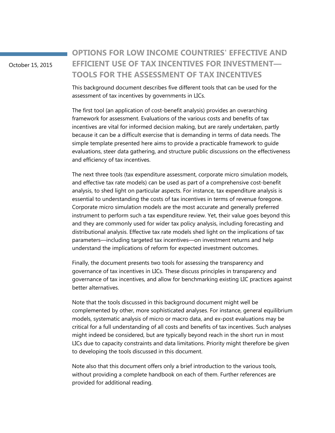October 15, 2015

**OPTIONS FOR LOW INCOME COUNTRIES' EFFECTIVE AND EFFICIENT USE OF TAX INCENTIVES FOR INVESTMENT— TOOLS FOR THE ASSESSMENT OF TAX INCENTIVES** 

This background document describes five different tools that can be used for the assessment of tax incentives by governments in LICs.

The first tool (an application of cost-benefit analysis) provides an overarching framework for assessment. Evaluations of the various costs and benefits of tax incentives are vital for informed decision making, but are rarely undertaken, partly because it can be a difficult exercise that is demanding in terms of data needs. The simple template presented here aims to provide a practicable framework to guide evaluations, steer data gathering, and structure public discussions on the effectiveness and efficiency of tax incentives.

The next three tools (tax expenditure assessment, corporate micro simulation models, and effective tax rate models) can be used as part of a comprehensive cost-benefit analysis, to shed light on particular aspects. For instance, tax expenditure analysis is essential to understanding the costs of tax incentives in terms of revenue foregone. Corporate micro simulation models are the most accurate and generally preferred instrument to perform such a tax expenditure review. Yet, their value goes beyond this and they are commonly used for wider tax policy analysis, including forecasting and distributional analysis. Effective tax rate models shed light on the implications of tax parameters—including targeted tax incentives—on investment returns and help understand the implications of reform for expected investment outcomes.

Finally, the document presents two tools for assessing the transparency and governance of tax incentives in LICs. These discuss principles in transparency and governance of tax incentives, and allow for benchmarking existing LIC practices against better alternatives.

Note that the tools discussed in this background document might well be complemented by other, more sophisticated analyses. For instance, general equilibrium models, systematic analysis of micro or macro data, and ex-post evaluations may be critical for a full understanding of all costs and benefits of tax incentives. Such analyses might indeed be considered, but are typically beyond reach in the short run in most LICs due to capacity constraints and data limitations. Priority might therefore be given to developing the tools discussed in this document.

Note also that this document offers only a brief introduction to the various tools, without providing a complete handbook on each of them. Further references are provided for additional reading.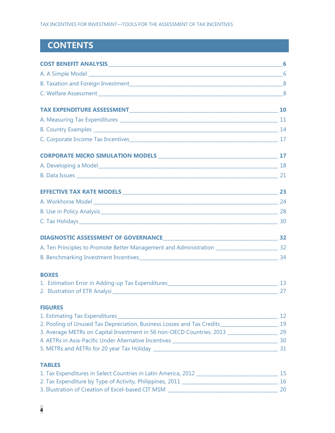# **CONTENTS**

| C. Corporate Income Tax Incentives 17 17                                                                      |           |
|---------------------------------------------------------------------------------------------------------------|-----------|
|                                                                                                               |           |
|                                                                                                               |           |
|                                                                                                               |           |
|                                                                                                               |           |
|                                                                                                               |           |
| B. Use in Policy Analysis 28 28                                                                               |           |
|                                                                                                               |           |
| DIAGNOSTIC ASSESSMENT OF GOVERNANCENTIAL CONTRACT AND STRUCK ASSESSMENT OF GOVERNANCE                         |           |
|                                                                                                               |           |
|                                                                                                               |           |
| <b>BOXES</b>                                                                                                  |           |
|                                                                                                               |           |
|                                                                                                               |           |
| <b>FIGURES</b>                                                                                                |           |
|                                                                                                               |           |
| 2. Pooling of Unused Tax Depreciation, Business Losses and Tax Credits______________________________ 19       |           |
| 3. Average METRs on Capital Investment in 56 non-OECD Countries, 2013 _____________________ 29                |           |
|                                                                                                               |           |
| <b>TABLES</b>                                                                                                 |           |
| 15 15 15 15 16 17 16 17 16 17 16 17 16 17 16 17 17 18 17 18 17 18 17 18 17 18 17 18 17 18 17 18 17 18 17 18 1 |           |
|                                                                                                               | <b>16</b> |

3. Illustration of Creation of Excel-based CIT MSM \_\_\_\_\_\_\_\_\_\_\_\_\_\_\_\_\_\_\_\_\_\_\_\_\_\_\_\_\_\_\_\_\_\_\_\_\_\_\_\_\_\_\_\_\_\_ 20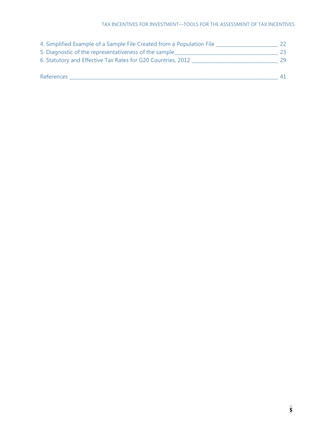| 4. Simplified Example of a Sample File Created from a Population File |    |
|-----------------------------------------------------------------------|----|
| 5. Diagnostic of the representativeness of the sample                 | 23 |
| 6. Statutory and Effective Tax Rates for G20 Countries, 2012          | 29 |
| <b>References</b>                                                     | 41 |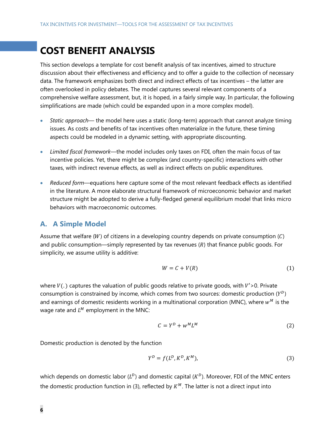# **COST BENEFIT ANALYSIS**

This section develops a template for cost benefit analysis of tax incentives, aimed to structure discussion about their effectiveness and efficiency and to offer a guide to the collection of necessary data. The framework emphasizes both direct and indirect effects of tax incentives – the latter are often overlooked in policy debates. The model captures several relevant components of a comprehensive welfare assessment, but, it is hoped, in a fairly simple way. In particular, the following simplifications are made (which could be expanded upon in a more complex model).

- *Static approach* the model here uses a static (long-term) approach that cannot analyze timing issues. As costs and benefits of tax incentives often materialize in the future, these timing aspects could be modeled in a dynamic setting, with appropriate discounting.
- *Limited fiscal framework*—the model includes only taxes on FDI, often the main focus of tax incentive policies. Yet, there might be complex (and country-specific) interactions with other taxes, with indirect revenue effects, as well as indirect effects on public expenditures.
- *Reduced form*—equations here capture some of the most relevant feedback effects as identified in the literature. A more elaborate structural framework of microeconomic behavior and market structure might be adopted to derive a fully-fledged general equilibrium model that links micro behaviors with macroeconomic outcomes.

# **A. A Simple Model**

Assume that welfare  $(W)$  of citizens in a developing country depends on private consumption  $(C)$ and public consumption—simply represented by tax revenues  $(R)$  that finance public goods. For simplicity, we assume utility is additive:

$$
W = C + V(R) \tag{1}
$$

where  $V(.)$  captures the valuation of public goods relative to private goods, with  $V' > 0$ . Private consumption is constrained by income, which comes from two sources: domestic production  $(Y^D)$ and earnings of domestic residents working in a multinational corporation (MNC), where  $w^M$  is the wage rate and  $L^M$  employment in the MNC:

$$
C = Y^D + w^M L^M \tag{2}
$$

Domestic production is denoted by the function

$$
Y^D = f(L^D, K^D, K^M),\tag{3}
$$

which depends on domestic labor ( $L<sup>D</sup>$ ) and domestic capital ( $K<sup>D</sup>$ ). Moreover, FDI of the MNC enters the domestic production function in (3), reflected by  $K^M$ . The latter is not a direct input into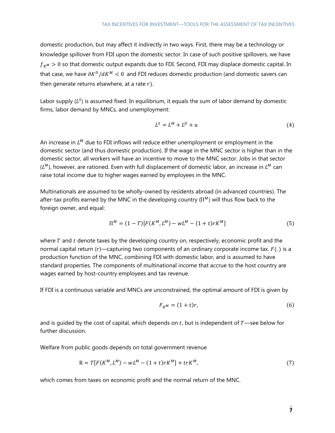domestic production, but may affect it indirectly in two ways. First, there may be a technology or knowledge spillover from FDI upon the domestic sector. In case of such positive spillovers, we have  $f_{\kappa M} > 0$  so that domestic output expands due to FDI. Second, FDI may displace domestic capital. In that case, we have  $\partial K^D/dK^M < 0$  and FDI reduces domestic production (and domestic savers can then generate returns elsewhere, at a rate  $r$ ).

Labor supply  $(L<sup>S</sup>)$  is assumed fixed. In equilibrium, it equals the sum of labor demand by domestic firms, labor demand by MNCs, and unemployment:

$$
L^S = L^M + L^D + u \tag{4}
$$

An increase in  $L^M$  due to FDI inflows will reduce either unemployment or employment in the domestic sector (and thus domestic production). If the wage in the MNC sector is higher than in the domestic sector, all workers will have an incentive to move to the MNC sector. Jobs in that sector  $(L^M)$ , however, are rationed. Even with full displacement of domestic labor, an increase in  $L^M$  can raise total income due to higher wages earned by employees in the MNC.

Multinationals are assumed to be wholly-owned by residents abroad (in advanced countries). The after-tax profits earned by the MNC in the developing country  $(\Pi^M)$  will thus flow back to the foreign owner, and equal:

$$
\Pi^{M} = (1 - T)[F(K^{M}, L^{M}) - wL^{M} - (1 + t)rK^{M}] \tag{5}
$$

where  $T$  and  $t$  denote taxes by the developing country on, respectively, economic profit and the normal capital return (r)—capturing two components of an ordinary corporate income tax.  $F(.)$  is a production function of the MNC, combining FDI with domestic labor, and is assumed to have standard properties. The components of multinational income that accrue to the host country are wages earned by host-country employees and tax revenue.

If FDI is a continuous variable and MNCs are unconstrained, the optimal amount of FDI is given by

$$
F_{K^M} = (1+t)r,\tag{6}
$$

and is quided by the cost of capital, which depends on  $t$ , but is independent of  $T$ —see below for further discussion.

Welfare from public goods depends on total government revenue

$$
R = T[F(K^M, L^M) - wL^M - (1+t)rK^M] + trK^M,
$$
\n(7)

which comes from taxes on economic profit and the normal return of the MNC.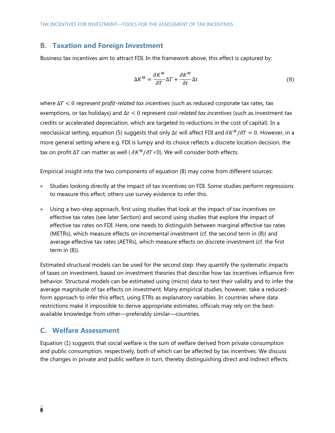# **B. Taxation and Foreign Investment**

Business tax incentives aim to attract FDI. In the framework above, this effect is captured by:

$$
\Delta K^M = \frac{\partial K^M}{\partial T} \Delta T + \frac{\partial K^M}{\partial t} \Delta t \tag{8}
$$

where  $\Delta T$  < 0 represent *profit-related tax incentives* (such as reduced corporate tax rates, tax exemptions, or tax holidays) and ∆*t* < 0 represent *cost-related tax incentives* (such as investment tax credits or accelerated depreciation, which are targeted to reductions in the cost of capital). In a neoclassical setting, equation (5) suggests that only  $\Delta t$  will affect FDI and  $\partial K^M/\partial T = 0$ . However, in a more general setting where e.g. FDI is lumpy and its choice reflects a discrete location decision, the tax on profit  $\Delta T$  can matter as well ( $\partial K^M/\partial T$ <0). We will consider both effects.

Empirical insight into the two components of equation (8) may come from different sources:

- Studies looking directly at the impact of tax incentives on FDI. Some studies perform regressions to measure this effect; others use survey evidence to infer this.
- Using a two-step approach, first using studies that look at the impact of tax incentives on effective tax rates (see later Section) and second using studies that explore the impact of effective tax rates on FDI. Here, one needs to distinguish between marginal effective tax rates (METRs), which measure effects on incremental investment (cf. the second term in (8)) and average effective tax rates (AETRs), which measure effects on discrete investment (cf. the first term in (8)).

Estimated structural models can be used for the second step: they quantify the systematic impacts of taxes on investment, based on investment theories that describe how tax incentives influence firm behavior. Structural models can be estimated using (micro) data to test their validity and to infer the average magnitude of tax effects on investment. Many empirical studies, however, take a reducedform approach to infer this effect, using ETRs as explanatory variables. In countries where data restrictions make it impossible to derive appropriate estimates, officials may rely on the bestavailable knowledge from other—preferably similar—countries.

#### **C. Welfare Assessment**

Equation (1) suggests that social welfare is the sum of welfare derived from private consumption and public consumption, respectively, both of which can be affected by tax incentives. We discuss the changes in private and public welfare in turn, thereby distinguishing direct and indirect effects.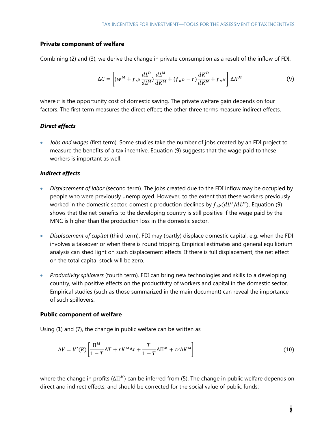#### **Private component of welfare**

Combining (2) and (3), we derive the change in private consumption as a result of the inflow of FDI:

$$
\Delta C = \left[ (w^M + f_{L^D} \frac{dL^D}{dL^M}) \frac{dL^M}{dK^M} + (f_{K^D} - r) \frac{dK^D}{dK^M} + f_{K^M} \right] \Delta K^M \tag{9}
$$

where  $r$  is the opportunity cost of domestic saving. The private welfare gain depends on four factors. The first term measures the direct effect; the other three terms measure indirect effects.

#### *Direct effects*

 *Jobs and wages* (first term). Some studies take the number of jobs created by an FDI project to measure the benefits of a tax incentive. Equation (9) suggests that the wage paid to these workers is important as well.

#### *Indirect effects*

- *Displacement of labor* (second term). The jobs created due to the FDI inflow may be occupied by people who were previously unemployed. However, to the extent that these workers previously worked in the domestic sector, domestic production declines by  $f_{I^D}(dL^D/dL^M)$ . Equation (9) shows that the net benefits to the developing country is still positive if the wage paid by the MNC is higher than the production loss in the domestic sector.
- *Displacement of capital* (third term). FDI may (partly) displace domestic capital, e.g. when the FDI involves a takeover or when there is round tripping. Empirical estimates and general equilibrium analysis can shed light on such displacement effects. If there is full displacement, the net effect on the total capital stock will be zero.
- *Productivity spillovers* (fourth term). FDI can bring new technologies and skills to a developing country, with positive effects on the productivity of workers and capital in the domestic sector. Empirical studies (such as those summarized in the main document) can reveal the importance of such spillovers.

#### **Public component of welfare**

Using (1) and (7), the change in public welfare can be written as

$$
\Delta V = V'(R) \left[ \frac{\Pi^M}{1 - T} \Delta T + rK^M \Delta t + \frac{T}{1 - T} \Delta \Pi^M + tr \Delta K^M \right]
$$
\n(10)

where the change in profits ( $\Delta \Pi^{M}$ ) can be inferred from (5). The change in public welfare depends on direct and indirect effects, and should be corrected for the social value of public funds: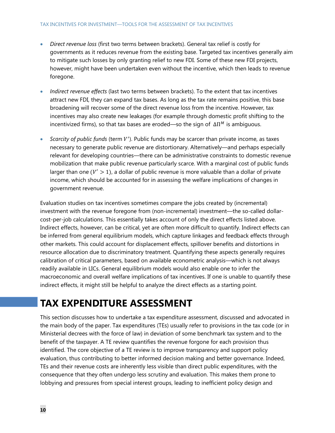- *Direct revenue loss* (first two terms between brackets). General tax relief is costly for governments as it reduces revenue from the existing base. Targeted tax incentives generally aim to mitigate such losses by only granting relief to new FDI. Some of these new FDI projects, however, might have been undertaken even without the incentive, which then leads to revenue foregone.
- *Indirect revenue effects* (last two terms between brackets). To the extent that tax incentives attract new FDI, they can expand tax bases. As long as the tax rate remains positive, this base broadening will recover some of the direct revenue loss from the incentive. However, tax incentives may also create new leakages (for example through domestic profit shifting to the incentivized firms), so that tax bases are eroded—so the sign of  $\Delta \Pi^M$  is ambiguous.
- Scarcity of public funds (term V'). Public funds may be scarcer than private income, as taxes necessary to generate public revenue are distortionary. Alternatively—and perhaps especially relevant for developing countries—there can be administrative constraints to domestic revenue mobilization that make public revenue particularly scarce. With a marginal cost of public funds larger than one  $(V' > 1)$ , a dollar of public revenue is more valuable than a dollar of private income, which should be accounted for in assessing the welfare implications of changes in government revenue.

Evaluation studies on tax incentives sometimes compare the jobs created by (incremental) investment with the revenue foregone from (non-incremental) investment—the so-called dollarcost-per-job calculations. This essentially takes account of only the direct effects listed above. Indirect effects, however, can be critical, yet are often more difficult to quantify. Indirect effects can be inferred from general equilibrium models, which capture linkages and feedback effects through other markets. This could account for displacement effects, spillover benefits and distortions in resource allocation due to discriminatory treatment. Quantifying these aspects generally requires calibration of critical parameters, based on available econometric analysis—which is not always readily available in LICs. General equilibrium models would also enable one to infer the macroeconomic and overall welfare implications of tax incentives. If one is unable to quantify these indirect effects, it might still be helpful to analyze the direct effects as a starting point.

# **TAX EXPENDITURE ASSESSMENT**

This section discusses how to undertake a tax expenditure assessment, discussed and advocated in the main body of the paper. Tax expenditures (TEs) usually refer to provisions in the tax code (or in Ministerial decrees with the force of law) in deviation of some benchmark tax system and to the benefit of the taxpayer. A TE review quantifies the revenue forgone for each provision thus identified. The core objective of a TE review is to improve transparency and support policy evaluation, thus contributing to better informed decision making and better governance. Indeed, TEs and their revenue costs are inherently less visible than direct public expenditures, with the consequence that they often undergo less scrutiny and evaluation. This makes them prone to lobbying and pressures from special interest groups, leading to inefficient policy design and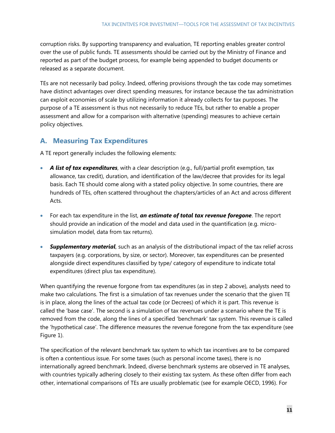corruption risks. By supporting transparency and evaluation, TE reporting enables greater control over the use of public funds. TE assessments should be carried out by the Ministry of Finance and reported as part of the budget process, for example being appended to budget documents or released as a separate document.

TEs are not necessarily bad policy. Indeed, offering provisions through the tax code may sometimes have distinct advantages over direct spending measures, for instance because the tax administration can exploit economies of scale by utilizing information it already collects for tax purposes. The purpose of a TE assessment is thus not necessarily to reduce TEs, but rather to enable a proper assessment and allow for a comparison with alternative (spending) measures to achieve certain policy objectives.

# **A. Measuring Tax Expenditures**

A TE report generally includes the following elements:

- *A list of tax expenditures*, with a clear description (e.g., full/partial profit exemption, tax allowance, tax credit), duration, and identification of the law/decree that provides for its legal basis. Each TE should come along with a stated policy objective. In some countries, there are hundreds of TEs, often scattered throughout the chapters/articles of an Act and across different Acts.
- For each tax expenditure in the list, *an estimate of total tax revenue foregone*. The report should provide an indication of the model and data used in the quantification (e.g. microsimulation model, data from tax returns).
- *Supplementary material*, such as an analysis of the distributional impact of the tax relief across taxpayers (e.g. corporations, by size, or sector). Moreover, tax expenditures can be presented alongside direct expenditures classified by type/ category of expenditure to indicate total expenditures (direct plus tax expenditure).

When quantifying the revenue forgone from tax expenditures (as in step 2 above), analysts need to make two calculations. The first is a simulation of tax revenues under the scenario that the given TE is in place, along the lines of the actual tax code (or Decrees) of which it is part. This revenue is called the 'base case'. The second is a simulation of tax revenues under a scenario where the TE is removed from the code, along the lines of a specified 'benchmark' tax system. This revenue is called the 'hypothetical case'. The difference measures the revenue foregone from the tax expenditure (see Figure 1).

The specification of the relevant benchmark tax system to which tax incentives are to be compared is often a contentious issue. For some taxes (such as personal income taxes), there is no internationally agreed benchmark. Indeed, diverse benchmark systems are observed in TE analyses, with countries typically adhering closely to their existing tax system. As these often differ from each other, international comparisons of TEs are usually problematic (see for example OECD, 1996). For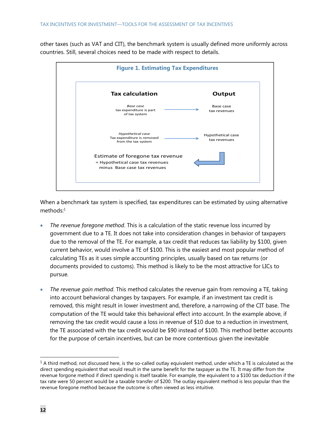other taxes (such as VAT and CIT), the benchmark system is usually defined more uniformly across countries. Still, several choices need to be made with respect to details.



When a benchmark tax system is specified, tax expenditures can be estimated by using alternative methods:1

- *The revenue foregone method*. This is a calculation of the static revenue loss incurred by government due to a TE. It does not take into consideration changes in behavior of taxpayers due to the removal of the TE. For example, a tax credit that reduces tax liability by \$100, given current behavior, would involve a TE of \$100. This is the easiest and most popular method of calculating TEs as it uses simple accounting principles, usually based on tax returns (or documents provided to customs). This method is likely to be the most attractive for LICs to pursue.
- *The revenue gain method*. This method calculates the revenue gain from removing a TE, taking into account behavioral changes by taxpayers. For example, if an investment tax credit is removed, this might result in lower investment and, therefore, a narrowing of the CIT base. The computation of the TE would take this behavioral effect into account. In the example above, if removing the tax credit would cause a loss in revenue of \$10 due to a reduction in investment, the TE associated with the tax credit would be \$90 instead of \$100. This method better accounts for the purpose of certain incentives, but can be more contentious given the inevitable

-

 $1$  A third method, not discussed here, is the so-called outlay equivalent method, under which a TE is calculated as the direct spending equivalent that would result in the same benefit for the taxpayer as the TE. It may differ from the revenue forgone method if direct spending is itself taxable. For example, the equivalent to a \$100 tax deduction if the tax rate were 50 percent would be a taxable transfer of \$200. The outlay equivalent method is less popular than the revenue foregone method because the outcome is often viewed as less intuitive.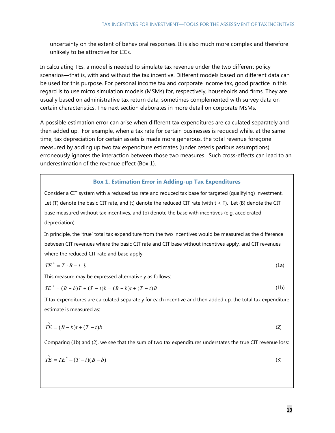uncertainty on the extent of behavioral responses. It is also much more complex and therefore unlikely to be attractive for LICs.

In calculating TEs, a model is needed to simulate tax revenue under the two different policy scenarios—that is, with and without the tax incentive. Different models based on different data can be used for this purpose. For personal income tax and corporate income tax, good practice in this regard is to use micro simulation models (MSMs) for, respectively, households and firms. They are usually based on administrative tax return data, sometimes complemented with survey data on certain characteristics. The next section elaborates in more detail on corporate MSMs.

A possible estimation error can arise when different tax expenditures are calculated separately and then added up. For example, when a tax rate for certain businesses is reduced while, at the same time, tax depreciation for certain assets is made more generous, the total revenue foregone measured by adding up two tax expenditure estimates (under ceteris paribus assumptions) erroneously ignores the interaction between those two measures. Such cross-effects can lead to an underestimation of the revenue effect (Box 1).

#### **Box 1. Estimation Error in Adding-up Tax Expenditures**

Consider a CIT system with a reduced tax rate and reduced tax base for targeted (qualifying) investment. Let (T) denote the basic CIT rate, and (t) denote the reduced CIT rate (with  $t < T$ ). Let (B) denote the CIT base measured without tax incentives, and (b) denote the base with incentives (e.g. accelerated depreciation).

In principle, the 'true' total tax expenditure from the two incentives would be measured as the difference between CIT revenues where the basic CIT rate and CIT base without incentives apply, and CIT revenues where the reduced CIT rate and base apply:

$$
TE^* = T \cdot B - t \cdot b \tag{1a}
$$

This measure may be expressed alternatively as follows:

$$
TE^* = (B - b)T + (T - t)b = (B - b)t + (T - t)B
$$
\n(1b)

If tax expenditures are calculated separately for each incentive and then added up, the total tax expenditure estimate is measured as:

$$
\hat{T}\hat{E} = (B - b)t + (T - t)b\tag{2}
$$

Comparing (1b) and (2), we see that the sum of two tax expenditures understates the true CIT revenue loss:

$$
\hat{TE} = TE^* - (T - t)(B - b) \tag{3}
$$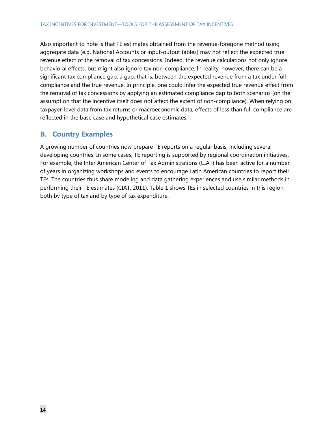Also important to note is that TE estimates obtained from the revenue-foregone method using aggregate data (e.g. National Accounts or input-output tables) may not reflect the expected true revenue effect of the removal of tax concessions. Indeed, the revenue calculations not only ignore behavioral effects, but might also ignore tax non-compliance. In reality, however, there can be a significant tax compliance gap: a gap, that is, between the expected revenue from a tax under full compliance and the true revenue. In principle, one could infer the expected true revenue effect from the removal of tax concessions by applying an estimated compliance gap to both scenarios (on the assumption that the incentive itself does not affect the extent of non-compliance). When relying on taxpayer-level data from tax returns or macroeconomic data, effects of less than full compliance are reflected in the base case and hypothetical case estimates.

# **B. Country Examples**

A growing number of countries now prepare TE reports on a regular basis, including several developing countries. In some cases, TE reporting is supported by regional coordination initiatives. For example, the Inter American Center of Tax Administrations (CIAT) has been active for a number of years in organizing workshops and events to encourage Latin American countries to report their TEs. The countries thus share modeling and data gathering experiences and use similar methods in performing their TE estimates (CIAT, 2011). Table 1 shows TEs in selected countries in this region, both by type of tax and by type of tax expenditure.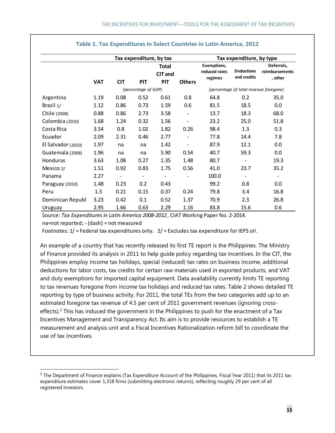|                    |            |            |                     | Tax expenditure, by tax        |                              |                                         | Tax expenditure, by type               |                                         |
|--------------------|------------|------------|---------------------|--------------------------------|------------------------------|-----------------------------------------|----------------------------------------|-----------------------------------------|
|                    | <b>VAT</b> | <b>CIT</b> | <b>PIT</b>          | <b>Total</b><br>CIT and<br>PIT | <b>Others</b>                | Exemptions,<br>reduced rates<br>regimes | <b>Deductions</b><br>and credits       | Deferrals,<br>reimbursements<br>, other |
|                    |            |            | (percentage of GDP) |                                |                              |                                         | (percentage of total revenue foregone) |                                         |
| Argentina          | 1.19       | 0.08       | 0.52                | 0.61                           | 0.8                          | 64.8                                    | 0.2                                    | 35.0                                    |
| Brazil 1/          | 1.12       | 0.86       | 0.73                | 1.59                           | 0.6                          | 81.5                                    | 18.5                                   | $0.0\,$                                 |
| Chile (2008)       | 0.88       | 0.86       | 2.73                | 3.58                           | $\qquad \qquad -$            | 13.7                                    | 18.3                                   | 68.0                                    |
| Colombia (2010)    | 1.68       | 1.24       | 0.32                | 1.56                           | $\overline{\phantom{0}}$     | 23.2                                    | 25.0                                   | 51.8                                    |
| Costa Rica         | 3.54       | 0.8        | 1.02                | 1.82                           | 0.26                         | 98.4                                    | 1.3                                    | 0.3                                     |
| Ecuador            | 2.09       | 2.31       | 0.46                | 2.77                           | $\qquad \qquad \blacksquare$ | 77.8                                    | 14.4                                   | 7.8                                     |
| El Salvador (2010) | 1.97       | na         | na                  | 1.42                           | $\qquad \qquad \blacksquare$ | 87.9                                    | 12.1                                   | $0.0\,$                                 |
| Guatemala (2008)   | 1.96       | na         | na                  | 5.90                           | 0.54                         | 40.7                                    | 59.3                                   | 0.0                                     |
| Honduras           | 3.63       | 1.08       | 0.27                | 1.35                           | 1.48                         | 80.7                                    |                                        | 19.3                                    |
| Mexico 2/          | 1.51       | 0.92       | 0.83                | 1.75                           | 0.56                         | 41.0                                    | 23.7                                   | 35.2                                    |
| Panama             | 2.27       |            |                     | -                              |                              | 100.0                                   |                                        |                                         |
| Paraguay (2010)    | 1.48       | 0.23       | 0.2                 | 0.43                           |                              | 99.2                                    | 0.8                                    | $0.0\,$                                 |
| Peru               | 1.3        | 0.21       | 0.15                | 0.37                           | 0.24                         | 79.8                                    | 3.4                                    | 16.8                                    |
| Dominican Republi  | 3.23       | 0.42       | 0.1                 | 0.52                           | 1.37                         | 70.9                                    | 2.3                                    | 26.8                                    |
| Uruguay            | 2.95       | 1.66       | 0.63                | 2.29                           | 1.16                         | 83.8                                    | 15.6                                   | 0.6                                     |

#### **Table 1. Tax Expenditures in Select Countries in Latin America, 2012**

Source: *Tax Expenditures in Latin America 2008-2012*, CIAT Working Paper No. 2-2014. na=not reported; - (dash) = not measured

Footnotes: 1/ = Federal tax expenditures only. 2/ = Excludes tax expenditure for IEPS oil.

An example of a country that has recently released its first TE report is the Philippines. The Ministry of Finance provided its analysis in 2011 to help guide policy regarding tax incentives. In the CIT, the Philippines employ income tax holidays, special (reduced) tax rates on business income, additional deductions for labor costs, tax credits for certain raw materials used in exported products, and VAT and duty exemptions for imported capital equipment. Data availability currently limits TE reporting to tax revenues foregone from income tax holidays and reduced tax rates. Table 2 shows detailed TE reporting by type of business activity. For 2011, the total TEs from the two categories add up to an estimated foregone tax revenue of 4.5 per cent of 2011 government revenues (ignoring crosseffects).<sup>2</sup> This has induced the government in the Philippines to push for the enactment of a Tax Incentives Management and Transparency Act. Its aim is to provide resources to establish a TE measurement and analysis unit and a Fiscal Incentives Rationalization reform bill to coordinate the use of tax incentives.

-

 $2$  The Department of Finance explains (Tax Expenditure Account of the Philippines, Fiscal Year 2011) that its 2011 tax expenditure estimates cover 1,318 firms (submitting electronic returns), reflecting roughly 29 per cent of all registered investors.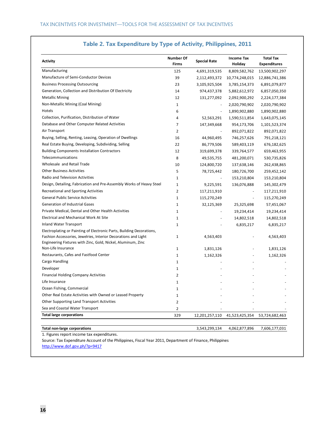| <b>Activity</b>                                                                                                                | <b>Number Of</b><br><b>Firms</b> | <b>Special Rate</b> | <b>Income Tax</b><br>Holiday | <b>Total Tax</b><br><b>Expenditures</b> |
|--------------------------------------------------------------------------------------------------------------------------------|----------------------------------|---------------------|------------------------------|-----------------------------------------|
| Manufacturing                                                                                                                  | 125                              | 4,691,319,535       | 8,809,582,762                | 13,500,902,297                          |
| Manufacture of Semi-Conductor Devices                                                                                          | 39                               | 2,112,493,372       | 10,774,248,015               | 12,886,741,386                          |
| <b>Business Processing Outsourcing</b>                                                                                         | 23                               | 3,105,925,504       | 3,785,154,373                | 6,891,079,877                           |
| Generation, Collection and Distribution Of Electricity                                                                         | 14                               | 974,437,378         | 5,882,612,972                | 6,857,050,350                           |
| <b>Metallic Mining</b>                                                                                                         | 12                               | 131,277,092         | 2,092,900,292                | 2,224,177,384                           |
| Non-Metallic Mining (Coal Mining)                                                                                              | $\mathbf{1}$                     |                     | 2,020,790,902                | 2,020,790,902                           |
| Hotels                                                                                                                         | 6                                | $\sim$              | 1,890,902,880                | 1,890,902,880                           |
| Collection, Purification, Distribution of Water                                                                                | 4                                | 52,563,291          | 1,590,511,854                | 1,643,075,145                           |
| Database and Other Computer Related Activities                                                                                 | 7                                | 147,349,668         | 954,173,706                  | 1,101,523,374                           |
| Air Transport                                                                                                                  | $\overline{2}$                   |                     | 892,071,822                  | 892,071,822                             |
| Buying, Selling, Renting, Leasing, Operation of Dwellings                                                                      | 16                               | 44,960,495          | 746,257,626                  | 791,218,121                             |
| Real Estate Buying, Developing, Subdividing, Selling                                                                           | 22                               | 86,779,506          | 589,403,119                  | 676,182,625                             |
| <b>Building Components Installation Contractors</b>                                                                            | 12                               | 319,699,378         | 339,764,577                  | 659,463,955                             |
| Telecommunications                                                                                                             | 8                                | 49,535,755          | 481,200,071                  | 530,735,826                             |
| Wholesale and Retail Trade                                                                                                     | 10                               | 124,800,720         | 137,638,146                  | 262,438,865                             |
| <b>Other Business Activities</b>                                                                                               | 5                                | 78,725,442          | 180,726,700                  | 259,452,142                             |
| Radio and Television Activities                                                                                                | $\mathbf{1}$                     |                     | 153,210,804                  | 153,210,804                             |
| Design, Detailing, Fabrication and Pre-Assembly Works of Heavy Steel                                                           | $\mathbf{1}$                     | 9,225,591           | 136,076,888                  | 145,302,479                             |
| Recreational and Sporting Activities                                                                                           | 2                                | 117,211,910         |                              | 117,211,910                             |
| <b>General Public Service Activities</b>                                                                                       | $\mathbf{1}$                     | 115,270,249         | ÷.                           | 115,270,249                             |
| <b>Generation of Industrial Gases</b>                                                                                          | $\mathbf{1}$                     | 32,125,369          | 25,325,698                   | 57,451,067                              |
| Private Medical, Dental and Other Health Activities                                                                            | $\mathbf{1}$                     |                     | 19,234,414                   | 19,234,414                              |
| Electrical and Mechanical Work At Site                                                                                         | $\mathbf{1}$                     |                     | 14,802,518                   | 14,802,518                              |
| <b>Inland Water Transport</b>                                                                                                  | $\mathbf{1}$                     |                     | 6,835,217                    | 6,835,217                               |
| Electroplating or Painting of Electronic Parts, Building Decorations,                                                          |                                  |                     |                              |                                         |
| Fashion Accessories, Jewelries, Interior Decorations and Light<br>Engineering Fixtures with Zinc, Gold, Nickel, Aluminum, Zinc | $\mathbf{1}$                     | 4,563,403           |                              | 4,563,403                               |
| Non-Life Insurance                                                                                                             | $\mathbf{1}$                     | 1,831,126           |                              | 1,831,126                               |
| Restaurants, Cafes and Fastfood Center                                                                                         | $\mathbf{1}$                     | 1,162,326           |                              | 1,162,326                               |
| Cargo Handling                                                                                                                 | $\mathbf{1}$                     |                     |                              |                                         |
| Developer                                                                                                                      | $\mathbf{1}$                     |                     |                              |                                         |
| <b>Financial Holding Company Activities</b>                                                                                    | $\overline{2}$                   |                     |                              |                                         |
| Life Insurance                                                                                                                 | $\mathbf{1}$                     |                     |                              |                                         |
| Ocean Fishing, Commercial                                                                                                      | 1                                |                     |                              |                                         |
| Other Real Estate Activities with Owned or Leased Property                                                                     | $\mathbf{1}$                     |                     |                              |                                         |
| <b>Other Supporting Land Transport Activities</b>                                                                              | $\overline{2}$                   |                     |                              |                                         |
| Sea and Coastal Water Transport                                                                                                | $\overline{2}$                   |                     |                              |                                         |
| <b>Total large corporations</b>                                                                                                | 329                              | 12,201,257,110      | 41,523,425,354               | 53,724,682,463                          |
|                                                                                                                                |                                  |                     |                              |                                         |
| Total non-large corporations                                                                                                   |                                  | 3,543,299,134       | 4,062,877,896                | 7,606,177,031                           |

### **Table 2. Tax Expenditure by Type of Activity, Philippines, 2011**

1. Figures report income tax expenditures.

http://www.dof.gov.ph/?p=9417 Source: Tax Expenditure Account of the Philippines, Fiscal Year 2011, Department of Finance, Philippines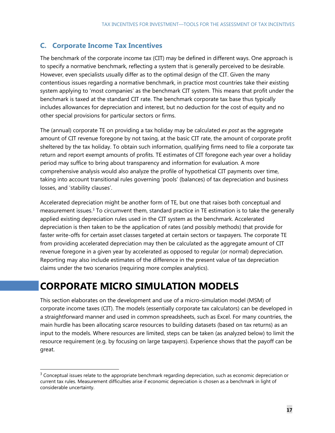# **C. Corporate Income Tax Incentives**

The benchmark of the corporate income tax (CIT) may be defined in different ways. One approach is to specify a normative benchmark, reflecting a system that is generally perceived to be desirable. However, even specialists usually differ as to the optimal design of the CIT. Given the many contentious issues regarding a normative benchmark, in practice most countries take their existing system applying to 'most companies' as the benchmark CIT system. This means that profit under the benchmark is taxed at the standard CIT rate. The benchmark corporate tax base thus typically includes allowances for depreciation and interest, but no deduction for the cost of equity and no other special provisions for particular sectors or firms.

The (annual) corporate TE on providing a tax holiday may be calculated *ex post* as the aggregate amount of CIT revenue foregone by not taxing, at the basic CIT rate, the amount of corporate profit sheltered by the tax holiday. To obtain such information, qualifying firms need to file a corporate tax return and report exempt amounts of profits. TE estimates of CIT foregone each year over a holiday period may suffice to bring about transparency and information for evaluation. A more comprehensive analysis would also analyze the profile of hypothetical CIT payments over time, taking into account transitional rules governing 'pools' (balances) of tax depreciation and business losses, and 'stability clauses'.

Accelerated depreciation might be another form of TE, but one that raises both conceptual and measurement issues.<sup>3</sup> To circumvent them, standard practice in TE estimation is to take the generally applied existing depreciation rules used in the CIT system as the benchmark. Accelerated depreciation is then taken to be the application of rates (and possibly methods) that provide for faster write-offs for certain asset classes targeted at certain sectors or taxpayers. The corporate TE from providing accelerated depreciation may then be calculated as the aggregate amount of CIT revenue foregone in a given year by accelerated as opposed to regular (or normal) depreciation. Reporting may also include estimates of the difference in the present value of tax depreciation claims under the two scenarios (requiring more complex analytics).

# **CORPORATE MICRO SIMULATION MODELS**

-

This section elaborates on the development and use of a micro-simulation model (MSM) of corporate income taxes (CIT). The models (essentially corporate tax calculators) can be developed in a straightforward manner and used in common spreadsheets, such as Excel. For many countries, the main hurdle has been allocating scarce resources to building datasets (based on tax returns) as an input to the models. Where resources are limited, steps can be taken (as analyzed below) to limit the resource requirement (e.g. by focusing on large taxpayers). Experience shows that the payoff can be great.

 $3$  Conceptual issues relate to the appropriate benchmark regarding depreciation, such as economic depreciation or current tax rules. Measurement difficulties arise if economic depreciation is chosen as a benchmark in light of considerable uncertainty.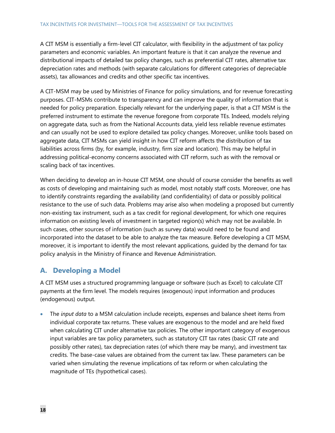A CIT MSM is essentially a firm-level CIT calculator, with flexibility in the adjustment of tax policy parameters and economic variables. An important feature is that it can analyze the revenue and distributional impacts of detailed tax policy changes, such as preferential CIT rates, alternative tax depreciation rates and methods (with separate calculations for different categories of depreciable assets), tax allowances and credits and other specific tax incentives.

A CIT-MSM may be used by Ministries of Finance for policy simulations, and for revenue forecasting purposes. CIT-MSMs contribute to transparency and can improve the quality of information that is needed for policy preparation. Especially relevant for the underlying paper, is that a CIT MSM is the preferred instrument to estimate the revenue foregone from corporate TEs. Indeed, models relying on aggregate data, such as from the National Accounts data, yield less reliable revenue estimates and can usually not be used to explore detailed tax policy changes. Moreover, unlike tools based on aggregate data, CIT MSMs can yield insight in how CIT reform affects the distribution of tax liabilities across firms (by, for example, industry, firm size and location). This may be helpful in addressing political-economy concerns associated with CIT reform, such as with the removal or scaling back of tax incentives.

When deciding to develop an in-house CIT MSM, one should of course consider the benefits as well as costs of developing and maintaining such as model, most notably staff costs. Moreover, one has to identify constraints regarding the availability (and confidentiality) of data or possibly political resistance to the use of such data. Problems may arise also when modeling a proposed but currently non-existing tax instrument, such as a tax credit for regional development, for which one requires information on existing levels of investment in targeted region(s) which may not be available. In such cases, other sources of information (such as survey data) would need to be found and incorporated into the dataset to be able to analyze the tax measure. Before developing a CIT MSM, moreover, it is important to identify the most relevant applications, guided by the demand for tax policy analysis in the Ministry of Finance and Revenue Administration.

# **A. Developing a Model**

A CIT MSM uses a structured programming language or software (such as Excel) to calculate CIT payments at the firm level. The models requires (exogenous) input information and produces (endogenous) output.

 The *input data* to a MSM calculation include receipts, expenses and balance sheet items from individual corporate tax returns. These values are exogenous to the model and are held fixed when calculating CIT under alternative tax policies. The other important category of exogenous input variables are tax policy parameters, such as statutory CIT tax rates (basic CIT rate and possibly other rates), tax depreciation rates (of which there may be many), and investment tax credits. The base-case values are obtained from the current tax law. These parameters can be varied when simulating the revenue implications of tax reform or when calculating the magnitude of TEs (hypothetical cases).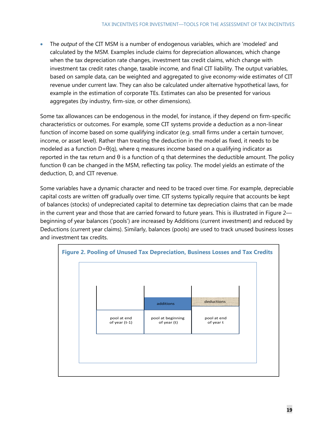The *output* of the CIT MSM is a number of endogenous variables, which are 'modeled' and calculated by the MSM. Examples include claims for depreciation allowances, which change when the tax depreciation rate changes, investment tax credit claims, which change with investment tax credit rates change, taxable income, and final CIT liability. The output variables, based on sample data, can be weighted and aggregated to give economy-wide estimates of CIT revenue under current law. They can also be calculated under alternative hypothetical laws, for example in the estimation of corporate TEs. Estimates can also be presented for various aggregates (by industry, firm-size, or other dimensions).

Some tax allowances can be endogenous in the model, for instance, if they depend on firm-specific characteristics or outcomes. For example, some CIT systems provide a deduction as a non-linear function of income based on some qualifying indicator (e.g. small firms under a certain turnover, income, or asset level). Rather than treating the deduction in the model as fixed, it needs to be modeled as a function  $D=\theta(q)$ , where q measures income based on a qualifying indicator as reported in the tax return and θ is a function of q that determines the deductible amount. The policy function θ can be changed in the MSM, reflecting tax policy. The model yields an estimate of the deduction, D, and CIT revenue.

Some variables have a dynamic character and need to be traced over time. For example, depreciable capital costs are written off gradually over time. CIT systems typically require that accounts be kept of balances (stocks) of undepreciated capital to determine tax depreciation claims that can be made in the current year and those that are carried forward to future years. This is illustrated in Figure 2 beginning of year balances ('pools') are increased by Additions (current investment) and reduced by Deductions (current year claims). Similarly, balances (pools) are used to track unused business losses and investment tax credits.

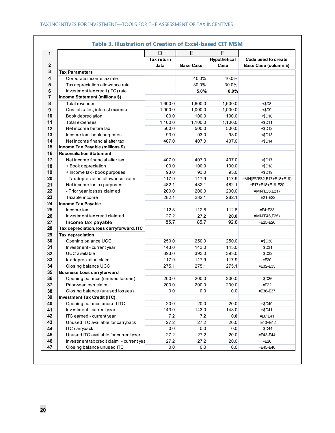|                                           | D                 | E                | F                   |                          |
|-------------------------------------------|-------------------|------------------|---------------------|--------------------------|
|                                           | <b>Tax return</b> |                  | <b>Hypothetical</b> | Code used to create      |
|                                           | data              | <b>Base Case</b> | Case                | Base Case (column E)     |
| <b>Tax Parameters</b>                     |                   |                  |                     |                          |
| Corporate income tax rate                 |                   | 40.0%            | 40.0%               |                          |
| Tax depreciation allowance rate           |                   | 30.0%            | 30.0%               |                          |
| Investment tax credit (ITC) rate          |                   | 5.0%             | 0.0%                |                          |
| Income Statement (millions \$)            |                   |                  |                     |                          |
| Total revenues                            | 1,600.0           | 1,600.0          | 1,600.0             | $+$DB$                   |
| Cost of sales, interest expense           | 1,000.0           | 1,000.0          | 1,000.0             | $+$D9$                   |
| Book depreciation                         | 100.0             | 100.0            | 100.0               | +\$D10                   |
| <b>Total expenses</b>                     | 1,100.0           | 1,100.0          | 1,100.0             | $+$D11$                  |
| Net income before tax                     | 500.0             | 500.0            | 500.0               | $+$D12$                  |
| Income tax - book purposes                | 93.0              | 93.0             | 93.0                | $+$D13$                  |
| Net income financial after tax            | 407.0             | 407.0            | 407.0               | $+$D14$                  |
| Income Tax Payable (millions \$)          |                   |                  |                     |                          |
| <b>Reconciliation Statement</b>           |                   |                  |                     |                          |
| Net income financial after tax            | 407.0             | 407.0            | 407.0               | $+$D17$                  |
| + Book depreciation                       | 100.0             | 100.0            | 100.0               | $+$D18$                  |
| + Income tax - book purposes              | 93.0              | 93.0             | 93.0                | $+$D19$                  |
| - Tax depreciation allowance claim        | 117.9             | 117.9            | 117.9               | =MIN(E5*E32,E17+E18+E19) |
| Net income for tax purposes               | 482.1             | 482.1            | 482.1               | +E17+E18+E19-E20         |
| - Prior year losses claimed               | 200.0             | 200.0            | 200.0               | =MIN(E36,E21)            |
| Taxable income                            | 282.1             | 282.1            | 282.1               | $=$ E21-E22              |
| <b>Income Tax Payable</b>                 |                   |                  |                     |                          |
| Income tax                                | 112.8             | 112.8            | 112.8               | $=$ E4*E23               |
| Investment tax credit claimed             | 27.2              | 27.2             | 20.0                | =MIN(E46,E25)            |
| Income tax payable                        | 85.7              | 85.7             | 92.8                | $=E25-E26$               |
| Tax depreciation, loss carryforward, ITC  |                   |                  |                     |                          |
| <b>Tax depreciation</b>                   |                   |                  |                     |                          |
| Opening balance UCC                       | 250.0             | 250.0            | 250.0               | $= $D30$                 |
| Investment - current year                 | 143.0             | 143.0            | 143.0               | $= $D31$                 |
| <b>UCC</b> available                      | 393.0             | 393.0            | 393.0               | $= $D32$                 |
| tax depreciation claim                    | 117.9             | 117.9            | 117.9               | $=E20$                   |
| Closing balance UCC                       | 275.1             | 275.1            | 275.1               | $=$ E32-E33              |
| <b>Business Loss carryforward</b>         |                   |                  |                     |                          |
| Opening balance (unused losses)           | 200.0             | 200.0            | 200.0               | $= $D36$                 |
| Prior-year loss claim                     | 200.0             | 200.0            | 200.0               | $=E22$                   |
| Closing balance (unused losses)           | 0.0               | 0.0              | 0.0                 | =E36-E37                 |
| <b>Investment Tax Credit (ITC)</b>        |                   |                  |                     |                          |
| Opening balance unused ITC                | 20.0              | 20.0             | 20.0                | $= $D40$                 |
| Investment - current year                 | 143.0             | 143.0            | 143.0               | $= $D41$                 |
| ITC earned - current year                 | 7.2               | 7.2              | 0.0                 | $=$ E6*E41               |
| Unused ITC available for carryback        | 27.2              | 27.2             | 20.0                | =E40+E42                 |
| ITC carryback                             | 0.0               | 0.0              | 0.0                 | $= $D44$                 |
| Unused ITC available for current year     | 27.2              | 27.2             | 20.0                | $=$ E43-E44              |
| Investment tax credit claim - current yea | 27.2              | 27.2             | 20.0                | $=E26$                   |
| Closing balance unused ITC                | 0.0               | 0.0              | 0.0                 | $=$ E45-E46              |

# **Table 3. Illustration of Creation of Excel-based CIT MSM**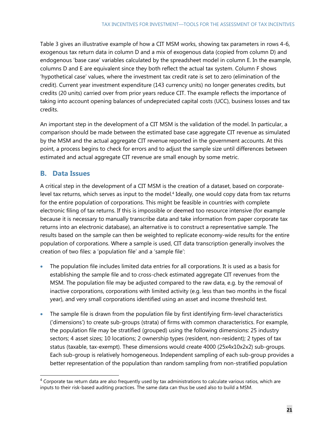Table 3 gives an illustrative example of how a CIT MSM works, showing tax parameters in rows 4-6, exogenous tax return data in column D and a mix of exogenous data (copied from column D) and endogenous 'base case' variables calculated by the spreadsheet model in column E. In the example, columns D and E are equivalent since they both reflect the actual tax system. Column F shows 'hypothetical case' values, where the investment tax credit rate is set to zero (elimination of the credit). Current year investment expenditure (143 currency units) no longer generates credits, but credits (20 units) carried over from prior years reduce CIT. The example reflects the importance of taking into account opening balances of undepreciated capital costs (UCC), business losses and tax credits.

An important step in the development of a CIT MSM is the validation of the model. In particular, a comparison should be made between the estimated base case aggregate CIT revenue as simulated by the MSM and the actual aggregate CIT revenue reported in the government accounts. At this point, a process begins to check for errors and to adjust the sample size until differences between estimated and actual aggregate CIT revenue are small enough by some metric.

# **B. Data Issues**

-

A critical step in the development of a CIT MSM is the creation of a dataset, based on corporatelevel tax returns, which serves as input to the model.<sup>4</sup> Ideally, one would copy data from tax returns for the entire population of corporations. This might be feasible in countries with complete electronic filing of tax returns. If this is impossible or deemed too resource intensive (for example because it is necessary to manually transcribe data and take information from paper corporate tax returns into an electronic database), an alternative is to construct a representative sample. The results based on the sample can then be weighted to replicate economy-wide results for the entire population of corporations. Where a sample is used, CIT data transcription generally involves the creation of two files: a 'population file' and a 'sample file':

- The population file includes limited data entries for all corporations. It is used as a basis for establishing the sample file and to cross-check estimated aggregate CIT revenues from the MSM. The population file may be adjusted compared to the raw data, e.g. by the removal of inactive corporations, corporations with limited activity (e.g. less than two months in the fiscal year), and very small corporations identified using an asset and income threshold test.
- The sample file is drawn from the population file by first identifying firm-level characteristics ('dimensions') to create sub-groups (strata) of firms with common characteristics. For example, the population file may be stratified (grouped) using the following dimensions: 25 industry sectors; 4 asset sizes; 10 locations; 2 ownership types (resident, non-resident); 2 types of tax status (taxable, tax-exempt). These dimensions would create 4000 (25x4x10x2x2) sub-groups. Each sub-group is relatively homogeneous. Independent sampling of each sub-group provides a better representation of the population than random sampling from non-stratified population

<sup>&</sup>lt;sup>4</sup> Corporate tax return data are also frequently used by tax administrations to calculate various ratios, which are inputs to their risk-based auditing practices. The same data can thus be used also to build a MSM.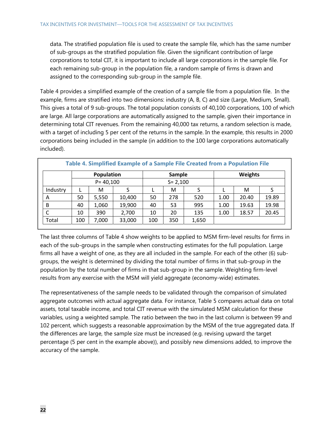data. The stratified population file is used to create the sample file, which has the same number of sub-groups as the stratified population file. Given the significant contribution of large corporations to total CIT, it is important to include all large corporations in the sample file. For each remaining sub-group in the population file, a random sample of firms is drawn and assigned to the corresponding sub-group in the sample file.

Table 4 provides a simplified example of the creation of a sample file from a population file. In the example, firms are stratified into two dimensions: industry (A, B, C) and size (Large, Medium, Small). This gives a total of 9 sub-groups. The total population consists of 40,100 corporations, 100 of which are large. All large corporations are automatically assigned to the sample, given their importance in determining total CIT revenues. From the remaining 40,000 tax returns, a random selection is made, with a target of including 5 per cent of the returns in the sample. In the example, this results in 2000 corporations being included in the sample (in addition to the 100 large corporations automatically included).

| Table 4. Simplified Example of a Sample File Created from a Population File |                   |              |        |     |             |       |      |                |       |  |  |
|-----------------------------------------------------------------------------|-------------------|--------------|--------|-----|-------------|-------|------|----------------|-------|--|--|
|                                                                             | <b>Population</b> |              |        |     | Sample      |       |      | <b>Weights</b> |       |  |  |
|                                                                             |                   | $P = 40,100$ |        |     | $S = 2,100$ |       |      |                |       |  |  |
| Industry                                                                    |                   | м            |        |     | М           |       |      | м              |       |  |  |
| A                                                                           | 50                | 5,550        | 10,400 | 50  | 278         | 520   | 1.00 | 20.40          | 19.89 |  |  |
| B                                                                           | 40                | 1,060        | 19,900 | 40  | 53          | 995   | 1.00 | 19.63          | 19.98 |  |  |
| С                                                                           | 10                | 390          | 2,700  | 10  | 20          | 135   | 1.00 | 18.57          | 20.45 |  |  |
| Total                                                                       | 100               | 7,000        | 33,000 | 100 | 350         | 1,650 |      |                |       |  |  |

The last three columns of Table 4 show weights to be applied to MSM firm-level results for firms in each of the sub-groups in the sample when constructing estimates for the full population. Large firms all have a weight of one, as they are all included in the sample. For each of the other (6) subgroups, the weight is determined by dividing the total number of firms in that sub-group in the population by the total number of firms in that sub-group in the sample. Weighting firm-level results from any exercise with the MSM will yield aggregate (economy-wide) estimates.

The representativeness of the sample needs to be validated through the comparison of simulated aggregate outcomes with actual aggregate data. For instance, Table 5 compares actual data on total assets, total taxable income, and total CIT revenue with the simulated MSM calculation for these variables, using a weighted sample. The ratio between the two in the last column is between 99 and 102 percent, which suggests a reasonable approximation by the MSM of the true aggregated data. If the differences are large, the sample size must be increased (e.g. revising upward the target percentage (5 per cent in the example above)), and possibly new dimensions added, to improve the accuracy of the sample.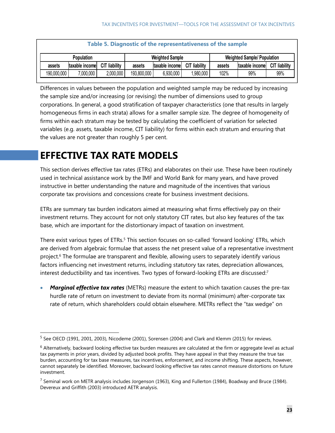| Table 5. Diagnostic of the representativeness of the sample |                   |                      |             |                        |                      |        |                                    |                      |  |
|-------------------------------------------------------------|-------------------|----------------------|-------------|------------------------|----------------------|--------|------------------------------------|----------------------|--|
|                                                             | <b>Population</b> |                      |             | <b>Weighted Sample</b> |                      |        | <b>Weighted Sample/ Population</b> |                      |  |
| assets                                                      | taxable income    | <b>CIT liability</b> | assets      | taxable income         | <b>CIT liability</b> | assets | taxable income                     | <b>CIT liability</b> |  |
| 190,000,000                                                 | 7,000,000         | 2,000,000            | 193,800,000 | 6,930,000              | 1,980,000            | 102%   | 99%                                | 99%                  |  |

Differences in values between the population and weighted sample may be reduced by increasing the sample size and/or increasing (or revising) the number of dimensions used to group corporations. In general, a good stratification of taxpayer characteristics (one that results in largely homogeneous firms in each strata) allows for a smaller sample size. The degree of homogeneity of firms within each stratum may be tested by calculating the coefficient of variation for selected variables (e.g. assets, taxable income, CIT liability) for firms within each stratum and ensuring that the values are not greater than roughly 5 per cent.

# **EFFECTIVE TAX RATE MODELS**

-

This section derives effective tax rates (ETRs) and elaborates on their use. These have been routinely used in technical assistance work by the IMF and World Bank for many years, and have proved instructive in better understanding the nature and magnitude of the incentives that various corporate tax provisions and concessions create for business investment decisions.

ETRs are summary tax burden indicators aimed at measuring what firms effectively pay on their investment returns. They account for not only statutory CIT rates, but also key features of the tax base, which are important for the distortionary impact of taxation on investment.

There exist various types of ETRs.<sup>5</sup> This section focuses on so-called 'forward looking' ETRs, which are derived from algebraic formulae that assess the net present value of a representative investment project.6 The formulae are transparent and flexible, allowing users to separately identify various factors influencing net investment returns, including statutory tax rates, depreciation allowances, interest deductibility and tax incentives. Two types of forward-looking ETRs are discussed:<sup>7</sup>

 *Marginal effective tax rates* (METRs) measure the extent to which taxation causes the pre-tax hurdle rate of return on investment to deviate from its normal (minimum) after-corporate tax rate of return, which shareholders could obtain elsewhere. METRs reflect the "tax wedge" on

<sup>&</sup>lt;sup>5</sup> See OECD (1991, 2001, 2003), Nicodeme (2001), Sorensen (2004) and Clark and Klemm (2015) for reviews.

 $6$  Alternatively, backward looking effective tax burden measures are calculated at the firm or aggregate level as actual tax payments in prior years, divided by adjusted book profits. They have appeal in that they measure the true tax burden, accounting for tax base measures, tax incentives, enforcement, and income shifting. These aspects, however, cannot separately be identified. Moreover, backward looking effective tax rates cannot measure distortions on future investment.

<sup>&</sup>lt;sup>7</sup> Seminal work on METR analysis includes Jorgenson (1963), King and Fullerton (1984), Boadway and Bruce (1984). Devereux and Griffith (2003) introduced AETR analysis.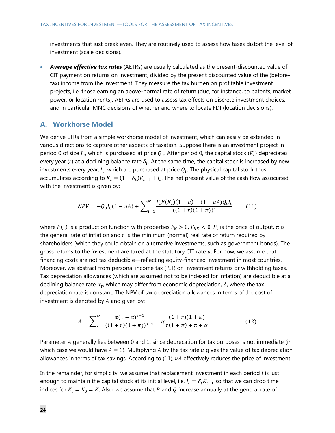investments that just break even. They are routinely used to assess how taxes distort the level of investment (scale decisions).

 *Average effective tax rates* (AETRs) are usually calculated as the present-discounted value of CIT payment on returns on investment, divided by the present discounted value of the (beforetax) income from the investment. They measure the tax burden on profitable investment projects, i.e. those earning an above-normal rate of return (due, for instance, to patents, market power, or location rents). AETRs are used to assess tax effects on discrete investment choices, and in particular MNC decisions of whether and where to locate FDI (location decisions).

### **A. Workhorse Model**

We derive ETRs from a simple workhorse model of investment, which can easily be extended in various directions to capture other aspects of taxation. Suppose there is an investment project in period 0 of size  $I_0$ , which is purchased at price  $Q_0$ . After period 0, the capital stock  $(K_t)$  depreciates every year (t) at a declining balance rate  $\delta_t$ . At the same time, the capital stock is increased by new investments every year,  $I_t$ , which are purchased at price  $Q_t$ . The physical capital stock thus accumulates according to  $K_t = (1 - \delta_t)K_{t-1} + I_t$ . The net present value of the cash flow associated with the investment is given by:

$$
NPV = -Q_0I_0(1 - uA) + \sum_{t=1}^{\infty} \frac{P_tF(K_t)(1 - u) - (1 - uA)Q_tI_t}{((1 + r)(1 + \pi))^t}
$$
(11)

where  $F(.)$  is a production function with properties  $F_K > 0$ ,  $F_{KK} < 0$ ,  $P_t$  is the price of output,  $\pi$  is the general rate of inflation and  $r$  is the minimum (normal) real rate of return required by shareholders (which they could obtain on alternative investments, such as government bonds). The gross returns to the investment are taxed at the statutory CIT rate  $u$ . For now, we assume that financing costs are not tax deductible—reflecting equity-financed investment in most countries. Moreover, we abstract from personal income tax (PIT) on investment returns or withholding taxes. Tax depreciation allowances (which are assumed not to be indexed for inflation) are deductible at a declining balance rate  $\alpha_t$ , which may differ from economic depreciation,  $\delta$ , where the tax depreciation rate is constant. The NPV of tax depreciation allowances in terms of the cost of investment is denoted by  $A$  and given by:

$$
A = \sum_{s=1}^{\infty} \frac{\alpha (1-\alpha)^{s-1}}{((1+r)(1+\pi))^{s-1}} = \alpha \frac{(1+r)(1+\pi)}{r(1+\pi)+\pi+\alpha}
$$
(12)

Parameter A generally lies between 0 and 1, since deprecation for tax purposes is not immediate (in which case we would have  $A = 1$ ). Multiplying A by the tax rate u gives the value of tax depreciation allowances in terms of tax savings. According to  $(11)$ ,  $uA$  effectively reduces the price of investment.

In the remainder, for simplicity, we assume that replacement investment in each period *t* is just enough to maintain the capital stock at its initial level, i.e.  $I_t = \delta_t K_{t-1}$  so that we can drop time indices for  $K_t = K_0 = K$ . Also, we assume that P and Q increase annually at the general rate of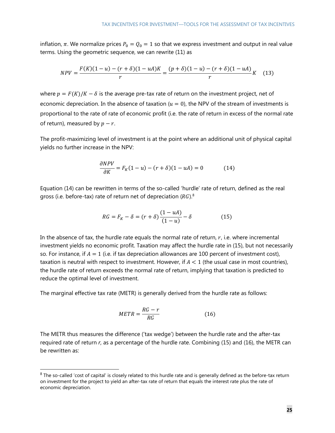inflation,  $\pi$ . We normalize prices  $P_0 = Q_0 = 1$  so that we express investment and output in real value terms. Using the geometric sequence, we can rewrite (11) as

$$
NPV = \frac{F(K)(1-u) - (r+\delta)(1-uA)K}{r} = \frac{(p+\delta)(1-u) - (r+\delta)(1-uA)}{r}K
$$
 (13)

where  $p = F(K)/K - \delta$  is the average pre-tax rate of return on the investment project, net of economic depreciation. In the absence of taxation ( $u = 0$ ), the NPV of the stream of investments is proportional to the rate of rate of economic profit (i.e. the rate of return in excess of the normal rate of return), measured by  $p - r$ .

The profit-maximizing level of investment is at the point where an additional unit of physical capital yields no further increase in the NPV:

$$
\frac{\partial NPV}{\partial K} = F_K(1 - u) - (r + \delta)(1 - uA) = 0 \tag{14}
$$

Equation (14) can be rewritten in terms of the so-called 'hurdle' rate of return, defined as the real gross (i.e. before-tax) rate of return net of depreciation  $(RG)$ .<sup>8</sup>

$$
RG = F_K - \delta = (r + \delta) \frac{(1 - uA)}{(1 - u)} - \delta
$$
 (15)

In the absence of tax, the hurdle rate equals the normal rate of return,  $r$ , i.e. where incremental investment yields no economic profit. Taxation may affect the hurdle rate in (15), but not necessarily so. For instance, if  $A = 1$  (i.e. if tax depreciation allowances are 100 percent of investment cost), taxation is neutral with respect to investment. However, if  $A < 1$  (the usual case in most countries), the hurdle rate of return exceeds the normal rate of return, implying that taxation is predicted to reduce the optimal level of investment.

The marginal effective tax rate (METR) is generally derived from the hurdle rate as follows:

$$
METR = \frac{RG - r}{RG} \tag{16}
$$

The METR thus measures the difference ('tax wedge') between the hurdle rate and the after-tax required rate of return *r*, as a percentage of the hurdle rate. Combining (15) and (16), the METR can be rewritten as:

-

 $8$  The so-called 'cost of capital' is closely related to this hurdle rate and is generally defined as the before-tax return on investment for the project to yield an after-tax rate of return that equals the interest rate plus the rate of economic depreciation.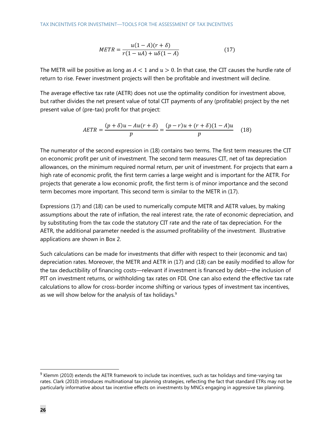$$
METR = \frac{u(1-A)(r+\delta)}{r(1-uA) + u\delta(1-A)}
$$
(17)

The METR will be positive as long as  $A < 1$  and  $u > 0$ . In that case, the CIT causes the hurdle rate of return to rise. Fewer investment projects will then be profitable and investment will decline.

The average effective tax rate (AETR) does not use the optimality condition for investment above, but rather divides the net present value of total CIT payments of any (profitable) project by the net present value of (pre-tax) profit for that project:

$$
AETR = \frac{(p+\delta)u - Au(r+\delta)}{p} = \frac{(p-r)u + (r+\delta)(1-A)u}{p}
$$
(18)

The numerator of the second expression in (18) contains two terms. The first term measures the CIT on economic profit per unit of investment. The second term measures CIT, net of tax depreciation allowances, on the minimum required normal return, per unit of investment. For projects that earn a high rate of economic profit, the first term carries a large weight and is important for the AETR. For projects that generate a low economic profit, the first term is of minor importance and the second term becomes more important. This second term is similar to the METR in (17).

Expressions (17) and (18) can be used to numerically compute METR and AETR values, by making assumptions about the rate of inflation, the real interest rate, the rate of economic depreciation, and by substituting from the tax code the statutory CIT rate and the rate of tax depreciation. For the AETR, the additional parameter needed is the assumed profitability of the investment. Illustrative applications are shown in Box 2.

Such calculations can be made for investments that differ with respect to their (economic and tax) depreciation rates. Moreover, the METR and AETR in (17) and (18) can be easily modified to allow for the tax deductibility of financing costs—relevant if investment is financed by debt—the inclusion of PIT on investment returns, or withholding tax rates on FDI. One can also extend the effective tax rate calculations to allow for cross-border income shifting or various types of investment tax incentives, as we will show below for the analysis of tax holidays.<sup>9</sup>

-

 $9$  Klemm (2010) extends the AETR framework to include tax incentives, such as tax holidays and time-varying tax rates. Clark (2010) introduces multinational tax planning strategies, reflecting the fact that standard ETRs may not be particularly informative about tax incentive effects on investments by MNCs engaging in aggressive tax planning.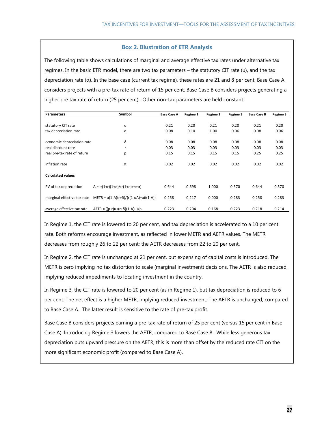#### **Box 2. Illustration of ETR Analysis**

The following table shows calculations of marginal and average effective tax rates under alternative tax regimes. In the basic ETR model, there are two tax parameters – the statutory CIT rate (u), and the tax depreciation rate (α). In the base case (current tax regime), these rates are 21 and 8 per cent. Base Case A considers projects with a pre-tax rate of return of 15 per cent. Base Case B considers projects generating a higher pre tax rate of return (25 per cent). Other non-tax parameters are held constant.

| <b>Parameters</b>           | Symbol                                           | <b>Base Case A</b> | Regime 1 | Regime 2 | Regime 3 | <b>Base Case B</b> | Regime 3 |
|-----------------------------|--------------------------------------------------|--------------------|----------|----------|----------|--------------------|----------|
|                             |                                                  |                    |          |          |          |                    |          |
| statutory CIT rate          | u                                                | 0.21               | 0.20     | 0.21     | 0.20     | 0.21               | 0.20     |
| tax depreciation rate       | α                                                | 0.08               | 0.10     | 1.00     | 0.06     | 0.08               | 0.06     |
| economic depreciation rate  | δ                                                | 0.08               | 0.08     | 0.08     | 0.08     | 0.08               | 0.08     |
| real discount rate          |                                                  | 0.03               | 0.03     | 0.03     | 0.03     | 0.03               | 0.03     |
| real pre-tax rate of return | р                                                | 0.15               | 0.15     | 0.15     | 0.15     | 0.25               | 0.25     |
| inflation rate              | π                                                | 0.02               | 0.02     | 0.02     | 0.02     | 0.02               | 0.02     |
| <b>Calculated values</b>    |                                                  |                    |          |          |          |                    |          |
| PV of tax depreciation      | $A = \alpha(1+r)(1+\pi)/(r(1+\pi)+\pi+\alpha)$   | 0.644              | 0.698    | 1.000    | 0.570    | 0.644              | 0.570    |
| marginal effective tax rate | $METR = u(1-A)(r+\delta)/(r(1-uA)+u\delta(1-A))$ | 0.258              | 0.217    | 0.000    | 0.283    | 0.258              | 0.283    |
| average effective tax rate  | $AETR = ((p-r)u+(r+\delta)(1-A)u)/p$             | 0.223              | 0.204    | 0.168    | 0.223    | 0.218              | 0.214    |

In Regime 1, the CIT rate is lowered to 20 per cent, and tax depreciation is accelerated to a 10 per cent rate. Both reforms encourage investment, as reflected in lower METR and AETR values. The METR decreases from roughly 26 to 22 per cent; the AETR decreases from 22 to 20 per cent.

In Regime 2, the CIT rate is unchanged at 21 per cent, but expensing of capital costs is introduced. The METR is zero implying no tax distortion to scale (marginal investment) decisions. The AETR is also reduced, implying reduced impediments to locating investment in the country.

In Regime 3, the CIT rate is lowered to 20 per cent (as in Regime 1), but tax depreciation is reduced to 6 per cent. The net effect is a higher METR, implying reduced investment. The AETR is unchanged, compared to Base Case A. The latter result is sensitive to the rate of pre-tax profit.

Base Case B considers projects earning a pre-tax rate of return of 25 per cent (versus 15 per cent in Base Case A). Introducing Regime 3 lowers the AETR, compared to Base Case B. While less generous tax depreciation puts upward pressure on the AETR, this is more than offset by the reduced rate CIT on the more significant economic profit (compared to Base Case A).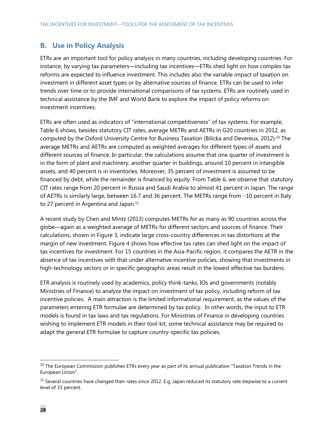# **B. Use in Policy Analysis**

ETRs are an important tool for policy analysis in many countries, including developing countries. For instance, by varying tax parameters—including tax incentives—ETRs shed light on how complex tax reforms are expected to influence investment. This includes also the variable impact of taxation on investment in different asset types or by alternative sources of finance. ETRs can be used to infer trends over time or to provide international comparisons of tax systems. ETRs are routinely used in technical assistance by the IMF and World Bank to explore the impact of policy reforms on investment incentives.

ETRs are often used as indicators of "international competitiveness" of tax systems. For example, Table 6 shows, besides statutory CIT rates, average METRs and AETRs in G20 countries in 2012, as computed by the Oxford University Centre for Business Taxation (Bilicka and Devereux, 2012).10 The average METRs and AETRs are computed as weighted averages for different types of assets and different sources of finance. In particular, the calculations assume that one quarter of investment is in the form of plant and machinery, another quarter in buildings, around 10 percent in intangible assets, and 40 percent is in inventories. Moreover, 35 percent of investment is assumed to be financed by debt, while the remainder is financed by equity. From Table 6, we observe that statutory CIT rates range from 20 percent in Russia and Saudi Arabia to almost 41 percent in Japan. The range of AETRs is similarly large, between 16.7 and 36 percent. The METRs range from −10 percent in Italy to 27 percent in Argentina and Japan.<sup>11</sup>

A recent study by Chen and Mintz (2013) computes METRs for as many as 90 countries across the globe—again as a weighted average of METRs for different sectors and sources of finance. Their calculations, shown in Figure 3, indicate large cross-country differences in tax distortions at the margin of new investment. Figure 4 shows how effective tax rates can shed light on the impact of tax incentives for investment. For 15 countries in the Asia-Pacific region, it compares the AETR in the absence of tax incentives with that under alternative incentive policies, showing that investments in high-technology sectors or in specific geographic areas result in the lowest effective tax burdens.

ETR analysis is routinely used by academics, policy think-tanks, IOs and governments (notably Ministries of Finance) to analyze the impact on investment of tax policy, including reform of tax incentive policies. A main attraction is the limited informational requirement, as the values of the parameters entering ETR formulae are determined by tax policy. In other words, the input to ETR models is found in tax laws and tax regulations. For Ministries of Finance in developing countries wishing to implement ETR models in their tool-kit, some technical assistance may be required to adapt the general ETR formulae to capture country-specific tax policies.

-

<sup>&</sup>lt;sup>10</sup> The European Commission publishes ETRs every year as part of its annual publication "Taxation Trends in the European Union".

 $11$  Several countries have changed their rates since 2012. E.g. Japan reduced its statutory rate stepwise to a current level of 33 percent.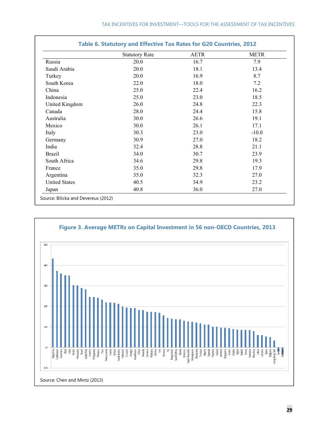|                      | <b>Statutory Rate</b> | <b>AETR</b> | <b>METR</b> |
|----------------------|-----------------------|-------------|-------------|
| Russia               | 20.0                  | 16.7        | 7.9         |
| Saudi Arabia         | 20.0                  | 18.1        | 13.4        |
| Turkey               | 20.0                  | 16.9        | 8.7         |
| South Korea          | 22.0                  | 18.0        | 7.2         |
| China                | 25.0                  | 22.4        | 16.2        |
| Indonesia            | 25.0                  | 23.0        | 18.5        |
| United Kingdom       | 26.0                  | 24.8        | 22.3        |
| Canada               | 28.0                  | 24.4        | 15.8        |
| Australia            | 30.0                  | 26.6        | 19.1        |
| Mexico               | 30.0                  | 26.1        | 17.1        |
| Italy                | 30.3                  | 23.0        | $-10.0$     |
| Germany              | 30.9                  | 27.0        | 18.2        |
| India                | 32.4                  | 28.8        | 21.1        |
| <b>Brazil</b>        | 34.0                  | 30.7        | 23.9        |
| South Africa         | 34.6                  | 29.8        | 19.3        |
| France               | 35.0                  | 29.8        | 17.9        |
| Argentina            | 35.0                  | 32.3        | 27.0        |
| <b>United States</b> | 40.5                  | 34.9        | 23.2        |
| Japan                | 40.8                  | 36.0        | 27.0        |

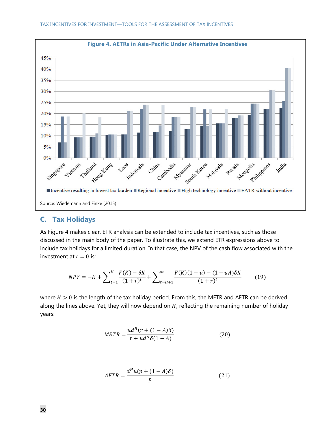

#### **C. Tax Holidays**

As Figure 4 makes clear, ETR analysis can be extended to include tax incentives, such as those discussed in the main body of the paper. To illustrate this, we extend ETR expressions above to include tax holidays for a limited duration. In that case, the NPV of the cash flow associated with the investment at  $t = 0$  is:

$$
NPV = -K + \sum_{t=1}^{H} \frac{F(K) - \delta K}{(1+r)^t} + \sum_{t=H+1}^{\infty} \frac{F(K)(1-u) - (1-uA)\delta K}{(1+r)^t}
$$
(19)

where  $H > 0$  is the length of the tax holiday period. From this, the METR and AETR can be derived along the lines above. Yet, they will now depend on  $H$ , reflecting the remaining number of holiday years:

$$
METR = \frac{ud^H(r + (1 - A)\delta)}{r + ud^H \delta(1 - A)}
$$
(20)

$$
AETR = \frac{d^H u (p + (1 - A)\delta)}{p}
$$
 (21)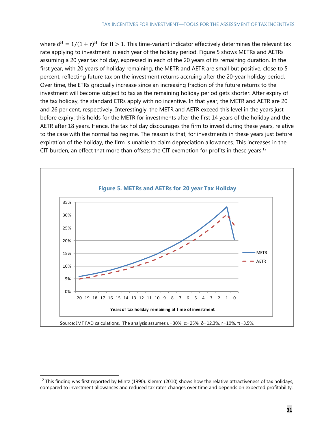where  $d^{H} = 1/(1+r)^{H}$  for H > 1. This time-variant indicator effectively determines the relevant tax rate applying to investment in each year of the holiday period. Figure 5 shows METRs and AETRs assuming a 20 year tax holiday, expressed in each of the 20 years of its remaining duration. In the first year, with 20 years of holiday remaining, the METR and AETR are small but positive, close to 5 percent, reflecting future tax on the investment returns accruing after the 20-year holiday period. Over time, the ETRs gradually increase since an increasing fraction of the future returns to the investment will become subject to tax as the remaining holiday period gets shorter. After expiry of the tax holiday, the standard ETRs apply with no incentive. In that year, the METR and AETR are 20 and 26 per cent, respectively. Interestingly, the METR and AETR exceed this level in the years just before expiry: this holds for the METR for investments after the first 14 years of the holiday and the AETR after 18 years. Hence, the tax holiday discourages the firm to invest during these years, relative to the case with the normal tax regime. The reason is that, for investments in these years just before expiration of the holiday, the firm is unable to claim depreciation allowances. This increases in the CIT burden, an effect that more than offsets the CIT exemption for profits in these years.<sup>12</sup>



-

 $12$  This finding was first reported by Mintz (1990). Klemm (2010) shows how the relative attractiveness of tax holidays, compared to investment allowances and reduced tax rates changes over time and depends on expected profitability.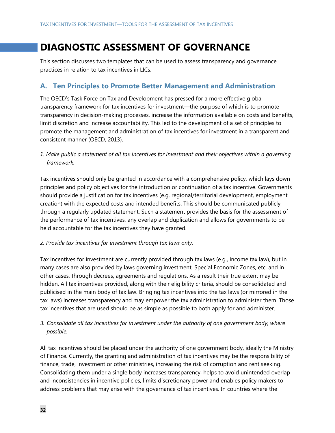# **DIAGNOSTIC ASSESSMENT OF GOVERNANCE**

This section discusses two templates that can be used to assess transparency and governance practices in relation to tax incentives in LICs.

## **A. Ten Principles to Promote Better Management and Administration**

The OECD's Task Force on Tax and Development has pressed for a more effective global transparency framework for tax incentives for investment—the purpose of which is to promote transparency in decision-making processes, increase the information available on costs and benefits, limit discretion and increase accountability. This led to the development of a set of principles to promote the management and administration of tax incentives for investment in a transparent and consistent manner (OECD, 2013).

*1. Make public a statement of all tax incentives for investment and their objectives within a governing framework.* 

Tax incentives should only be granted in accordance with a comprehensive policy, which lays down principles and policy objectives for the introduction or continuation of a tax incentive. Governments should provide a justification for tax incentives (e.g. regional/territorial development, employment creation) with the expected costs and intended benefits. This should be communicated publicly through a regularly updated statement. Such a statement provides the basis for the assessment of the performance of tax incentives, any overlap and duplication and allows for governments to be held accountable for the tax incentives they have granted.

*2. Provide tax incentives for investment through tax laws only.* 

Tax incentives for investment are currently provided through tax laws (e.g., income tax law), but in many cases are also provided by laws governing investment, Special Economic Zones, etc. and in other cases, through decrees, agreements and regulations. As a result their true extent may be hidden. All tax incentives provided, along with their eligibility criteria, should be consolidated and publicised in the main body of tax law. Bringing tax incentives into the tax laws (or mirrored in the tax laws) increases transparency and may empower the tax administration to administer them. Those tax incentives that are used should be as simple as possible to both apply for and administer.

### *3. Consolidate all tax incentives for investment under the authority of one government body, where possible.*

All tax incentives should be placed under the authority of one government body, ideally the Ministry of Finance. Currently, the granting and administration of tax incentives may be the responsibility of finance, trade, investment or other ministries, increasing the risk of corruption and rent seeking. Consolidating them under a single body increases transparency, helps to avoid unintended overlap and inconsistencies in incentive policies, limits discretionary power and enables policy makers to address problems that may arise with the governance of tax incentives. In countries where the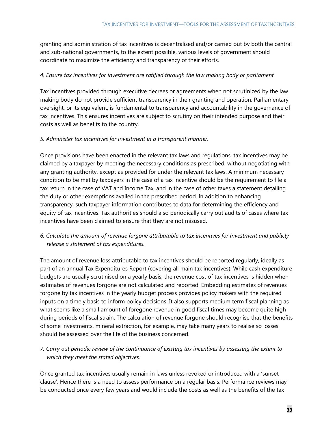granting and administration of tax incentives is decentralised and/or carried out by both the central and sub-national governments, to the extent possible, various levels of government should coordinate to maximize the efficiency and transparency of their efforts.

#### *4. Ensure tax incentives for investment are ratified through the law making body or parliament.*

Tax incentives provided through executive decrees or agreements when not scrutinized by the law making body do not provide sufficient transparency in their granting and operation. Parliamentary oversight, or its equivalent, is fundamental to transparency and accountability in the governance of tax incentives. This ensures incentives are subject to scrutiny on their intended purpose and their costs as well as benefits to the country.

#### *5. Administer tax incentives for investment in a transparent manner.*

Once provisions have been enacted in the relevant tax laws and regulations, tax incentives may be claimed by a taxpayer by meeting the necessary conditions as prescribed, without negotiating with any granting authority, except as provided for under the relevant tax laws. A minimum necessary condition to be met by taxpayers in the case of a tax incentive should be the requirement to file a tax return in the case of VAT and Income Tax, and in the case of other taxes a statement detailing the duty or other exemptions availed in the prescribed period. In addition to enhancing transparency, such taxpayer information contributes to data for determining the efficiency and equity of tax incentives. Tax authorities should also periodically carry out audits of cases where tax incentives have been claimed to ensure that they are not misused.

### *6. Calculate the amount of revenue forgone attributable to tax incentives for investment and publicly release a statement of tax expenditures.*

The amount of revenue loss attributable to tax incentives should be reported regularly, ideally as part of an annual Tax Expenditures Report (covering all main tax incentives). While cash expenditure budgets are usually scrutinised on a yearly basis, the revenue cost of tax incentives is hidden when estimates of revenues forgone are not calculated and reported. Embedding estimates of revenues forgone by tax incentives in the yearly budget process provides policy makers with the required inputs on a timely basis to inform policy decisions. It also supports medium term fiscal planning as what seems like a small amount of foregone revenue in good fiscal times may become quite high during periods of fiscal strain. The calculation of revenue forgone should recognise that the benefits of some investments, mineral extraction, for example, may take many years to realise so losses should be assessed over the life of the business concerned.

### *7. Carry out periodic review of the continuance of existing tax incentives by assessing the extent to which they meet the stated objectives.*

Once granted tax incentives usually remain in laws unless revoked or introduced with a 'sunset clause'. Hence there is a need to assess performance on a regular basis. Performance reviews may be conducted once every few years and would include the costs as well as the benefits of the tax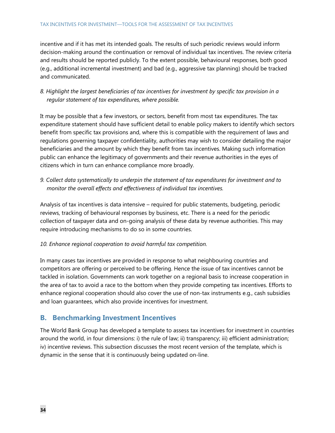#### TAX INCENTIVES FOR INVESTMENT—TOOLS FOR THE ASSESSMENT OF TAX INCENTIVES

incentive and if it has met its intended goals. The results of such periodic reviews would inform decision-making around the continuation or removal of individual tax incentives. The review criteria and results should be reported publicly. To the extent possible, behavioural responses, both good (e.g., additional incremental investment) and bad (e.g., aggressive tax planning) should be tracked and communicated.

*8. Highlight the largest beneficiaries of tax incentives for investment by specific tax provision in a regular statement of tax expenditures, where possible.* 

It may be possible that a few investors, or sectors, benefit from most tax expenditures. The tax expenditure statement should have sufficient detail to enable policy makers to identify which sectors benefit from specific tax provisions and, where this is compatible with the requirement of laws and regulations governing taxpayer confidentiality, authorities may wish to consider detailing the major beneficiaries and the amount by which they benefit from tax incentives. Making such information public can enhance the legitimacy of governments and their revenue authorities in the eyes of citizens which in turn can enhance compliance more broadly.

*9. Collect data systematically to underpin the statement of tax expenditures for investment and to monitor the overall effects and effectiveness of individual tax incentives.* 

Analysis of tax incentives is data intensive – required for public statements, budgeting, periodic reviews, tracking of behavioural responses by business, etc. There is a need for the periodic collection of taxpayer data and on-going analysis of these data by revenue authorities. This may require introducing mechanisms to do so in some countries.

#### *10. Enhance regional cooperation to avoid harmful tax competition.*

In many cases tax incentives are provided in response to what neighbouring countries and competitors are offering or perceived to be offering. Hence the issue of tax incentives cannot be tackled in isolation. Governments can work together on a regional basis to increase cooperation in the area of tax to avoid a race to the bottom when they provide competing tax incentives. Efforts to enhance regional cooperation should also cover the use of non-tax instruments e.g., cash subsidies and loan guarantees, which also provide incentives for investment.

## **B. Benchmarking Investment Incentives**

The World Bank Group has developed a template to assess tax incentives for investment in countries around the world, in four dimensions: i) the rule of law; ii) transparency; iii) efficient administration; iv) incentive reviews. This subsection discusses the most recent version of the template, which is dynamic in the sense that it is continuously being updated on-line.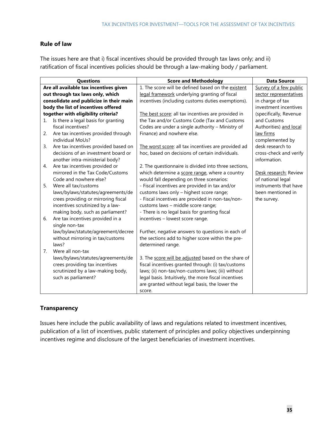#### **Rule of law**

The issues here are that i) fiscal incentives should be provided through tax laws only; and ii) ratification of fiscal incentives policies should be through a law-making body / parliament.

|    | Questions                               | <b>Score and Methodology</b>                         | <b>Data Source</b>     |
|----|-----------------------------------------|------------------------------------------------------|------------------------|
|    | Are all available tax incentives given  | 1. The score will be defined based on the existent   | Survey of a few public |
|    | out through tax laws only, which        | legal framework underlying granting of fiscal        | sector representatives |
|    | consolidate and publicize in their main | incentives (including customs duties exemptions).    | in charge of tax       |
|    | body the list of incentives offered     |                                                      | investment incentives  |
|    | together with eligibility criteria?     | The best score: all tax incentives are provided in   | (specifically, Revenue |
| 1. | Is there a legal basis for granting     | the Tax and/or Customs Code (Tax and Customs         | and Customs            |
|    | fiscal incentives?                      | Codes are under a single authority - Ministry of     | Authorities) and local |
| 2. | Are tax incentives provided through     | Finance) and nowhere else.                           | law firms              |
|    | individual MoUs?                        |                                                      | complemented by        |
| 3. | Are tax incentives provided based on    | The worst score: all tax incentives are provided ad  | desk research to       |
|    | decisions of an investment board or     | hoc, based on decisions of certain individuals.      | cross-check and verify |
|    | another intra-ministerial body?         |                                                      | information.           |
| 4. | Are tax incentives provided or          | 2. The questionnaire is divided into three sections, |                        |
|    | mirrored in the Tax Code/Customs        | which determine a score range, where a country       | Desk research: Review  |
|    | Code and nowhere else?                  | would fall depending on three scenarios:             | of national legal      |
| 5. | Were all tax/customs                    | - Fiscal incentives are provided in tax and/or       | instruments that have  |
|    | laws/bylaws/statutes/agreements/de      | customs laws only - highest score range;             | been mentioned in      |
|    | crees providing or mirroring fiscal     | - Fiscal incentives are provided in non-tax/non-     | the survey.            |
|    | incentives scrutinized by a law-        | customs laws - middle score range;                   |                        |
|    | making body, such as parliament?        | - There is no legal basis for granting fiscal        |                        |
| 6. | Are tax incentives provided in a        | incentives - lowest score range.                     |                        |
|    | single non-tax                          |                                                      |                        |
|    | law/bylaw/statute/agreement/decree      | Further, negative answers to questions in each of    |                        |
|    | without mirroring in tax/customs        | the sections add to higher score within the pre-     |                        |
|    | laws?                                   | determined range.                                    |                        |
| 7. | Were all non-tax                        |                                                      |                        |
|    | laws/bylaws/statutes/agreements/de      | 3. The score will be adjusted based on the share of  |                        |
|    | crees providing tax incentives          | fiscal incentives granted through: (i) tax/customs   |                        |
|    | scrutinized by a law-making body,       | laws; (ii) non-tax/non-customs laws; (iii) without   |                        |
|    | such as parliament?                     | legal basis. Intuitively, the more fiscal incentives |                        |
|    |                                         | are granted without legal basis, the lower the       |                        |
|    |                                         | score.                                               |                        |

#### **Transparency**

Issues here include the public availability of laws and regulations related to investment incentives, publication of a list of incentives, public statement of principles and policy objectives underpinning incentives regime and disclosure of the largest beneficiaries of investment incentives.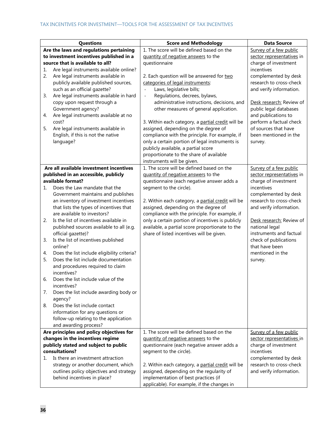|    | Questions                                                                       | <b>Score and Methodology</b>                                          | <b>Data Source</b>                                |
|----|---------------------------------------------------------------------------------|-----------------------------------------------------------------------|---------------------------------------------------|
|    | Are the laws and regulations pertaining                                         | 1. The score will be defined based on the                             | Survey of a few public                            |
|    | to investment incentives published in a                                         | quantity of negative answers to the                                   | sector representatives in                         |
|    | source that is available to all?                                                | questionnaire                                                         | charge of investment                              |
| 1. | Are legal instruments available online?                                         |                                                                       | incentives                                        |
| 2. | Are legal instruments available in                                              | 2. Each question will be answered for two                             | complemented by desk                              |
|    | publicly available published sources,                                           | categories of legal instruments:                                      | research to cross-check                           |
|    | such as an official gazette?                                                    | Laws, legislative bills;<br>$\overline{\phantom{a}}$                  | and verify information.                           |
| 3. | Are legal instruments available in hard                                         | Regulations, decrees, bylaws,<br>$\blacksquare$                       |                                                   |
|    | copy upon request through a                                                     | administrative instructions, decisions, and                           | Desk research: Review of                          |
|    | Government agency?                                                              | other measures of general application.                                | public legal databases                            |
| 4. | Are legal instruments available at no                                           |                                                                       | and publications to                               |
|    | cost?                                                                           | 3. Within each category, a partial credit will be                     | perform a factual check                           |
| 5. | Are legal instruments available in                                              | assigned, depending on the degree of                                  | of sources that have                              |
|    | English, if this is not the native                                              | compliance with the principle. For example, if                        | been mentioned in the                             |
|    | language?                                                                       | only a certain portion of legal instruments is                        | survey.                                           |
|    |                                                                                 | publicly available, a partial score                                   |                                                   |
|    |                                                                                 | proportionate to the share of available                               |                                                   |
|    |                                                                                 | instruments will be given.                                            |                                                   |
|    | Are all available investment incentives<br>published in an accessible, publicly | 1. The score will be defined based on the                             | Survey of a few public                            |
|    | available format?                                                               | quantity of negative answers to the                                   | sector representatives in<br>charge of investment |
| 1. | Does the Law mandate that the                                                   | questionnaire (each negative answer adds a<br>segment to the circle). | incentives                                        |
|    | Government maintains and publishes                                              |                                                                       | complemented by desk                              |
|    | an inventory of investment incentives                                           | 2. Within each category, a partial credit will be                     | research to cross-check                           |
|    | that lists the types of incentives that                                         | assigned, depending on the degree of                                  | and verify information.                           |
|    | are available to investors?                                                     | compliance with the principle. For example, if                        |                                                   |
| 2. | Is the list of incentives available in                                          | only a certain portion of incentives is publicly                      | Desk research: Review of                          |
|    | published sources available to all (e.g.                                        | available, a partial score proportionate to the                       | national legal                                    |
|    | official gazette)?                                                              | share of listed incentives will be given.                             | instruments and factual                           |
| 3. | Is the list of incentives published                                             |                                                                       | check of publications                             |
|    | online?                                                                         |                                                                       | that have been                                    |
| 4. | Does the list include eligibility criteria?                                     |                                                                       | mentioned in the                                  |
| 5. | Does the list include documentation                                             |                                                                       | survey.                                           |
|    | and procedures required to claim                                                |                                                                       |                                                   |
|    | incentives?                                                                     |                                                                       |                                                   |
| 6. | Does the list include value of the                                              |                                                                       |                                                   |
|    | incentives?                                                                     |                                                                       |                                                   |
| 7. | Does the list include awarding body or                                          |                                                                       |                                                   |
|    | agency?                                                                         |                                                                       |                                                   |
| 8. | Does the list include contact                                                   |                                                                       |                                                   |
|    | information for any questions or                                                |                                                                       |                                                   |
|    | follow-up relating to the application                                           |                                                                       |                                                   |
|    | and awarding process?<br>Are principles and policy objectives for               | 1. The score will be defined based on the                             | Survey of a few public                            |
|    | changes in the incentives regime                                                | quantity of negative answers to the                                   | sector representatives in                         |
|    | publicly stated and subject to public                                           | questionnaire (each negative answer adds a                            | charge of investment                              |
|    | consultations?                                                                  | segment to the circle).                                               | incentives                                        |
| 1. | Is there an investment attraction                                               |                                                                       | complemented by desk                              |
|    | strategy or another document, which                                             | 2. Within each category, a partial credit will be                     | research to cross-check                           |
|    | outlines policy objectives and strategy                                         | assigned, depending on the regularity of                              | and verify information.                           |
|    | behind incentives in place?                                                     | implementation of best practices (if                                  |                                                   |
|    |                                                                                 | applicable). For example, if the changes in                           |                                                   |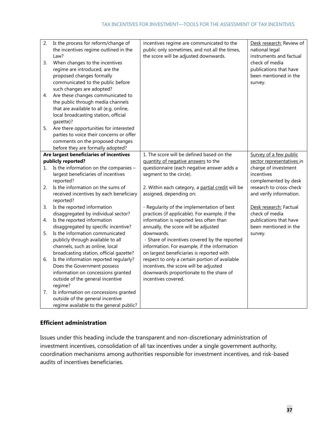| 2. | Is the process for reform/change of      | incentives regime are communicated to the                                    | Desk research: Review of  |
|----|------------------------------------------|------------------------------------------------------------------------------|---------------------------|
|    | the incentives regime outlined in the    | public only sometimes, and not all the times,                                | national legal            |
|    | Law?                                     | the score will be adjusted downwards.                                        | instruments and factual   |
| 3. | When changes to the incentives           |                                                                              | check of media            |
|    | regime are introduced, are the           |                                                                              | publications that have    |
|    | proposed changes formally                |                                                                              | been mentioned in the     |
|    | communicated to the public before        |                                                                              | survey.                   |
|    | such changes are adopted?                |                                                                              |                           |
| 4. | Are these changes communicated to        |                                                                              |                           |
|    | the public through media channels        |                                                                              |                           |
|    | that are available to all (e.g. online,  |                                                                              |                           |
|    | local broadcasting station, official     |                                                                              |                           |
|    | gazette)?                                |                                                                              |                           |
| 5. | Are there opportunities for interested   |                                                                              |                           |
|    | parties to voice their concerns or offer |                                                                              |                           |
|    | comments on the proposed changes         |                                                                              |                           |
|    | before they are formally adopted?        |                                                                              |                           |
|    | Are largest beneficiaries of incentives  | 1. The score will be defined based on the                                    | Survey of a few public    |
|    | publicly reported?                       | quantity of negative answers to the                                          | sector representatives in |
| 1. | Is the information on the companies -    | questionnaire (each negative answer adds a                                   | charge of investment      |
|    | largest beneficiaries of incentives      | segment to the circle).                                                      | incentives                |
|    | reported?                                |                                                                              | complemented by desk      |
| 2. | Is the information on the sums of        |                                                                              | research to cross-check   |
|    | received incentives by each beneficiary  | 2. Within each category, a partial credit will be<br>assigned, depending on: | and verify information.   |
|    |                                          |                                                                              |                           |
| 3. | reported?<br>Is the reported information |                                                                              | Desk research: Factual    |
|    |                                          | - Regularity of the implementation of best                                   | check of media            |
|    | disaggregated by individual sector?      | practices (if applicable). For example, if the                               | publications that have    |
| 4. | Is the reported information              | information is reported less often than                                      | been mentioned in the     |
|    | disaggregated by specific incentive?     | annually, the score will be adjusted                                         |                           |
| 5. | Is the information communicated          | downwards.                                                                   | survey.                   |
|    | publicly through available to all        | - Share of incentives covered by the reported                                |                           |
|    | channels, such as online, local          | information. For example, if the information                                 |                           |
|    | broadcasting station, official gazette?  | on largest beneficiaries is reported with                                    |                           |
| 6. | Is the information reported regularly?   | respect to only a certain portion of available                               |                           |
|    | Does the Government possess              | incentives, the score will be adjusted                                       |                           |
|    | information on concessions granted       | downwards proportionate to the share of                                      |                           |
|    | outside of the general incentive         | incentives covered.                                                          |                           |
|    | regime?                                  |                                                                              |                           |
| 7. | Is information on concessions granted    |                                                                              |                           |
|    | outside of the general incentive         |                                                                              |                           |
|    | regime available to the general public?  |                                                                              |                           |

### **Efficient administration**

Issues under this heading include the transparent and non-discretionary administration of investment incentives, consolidation of all tax incentives under a single government authority, coordination mechanisms among authorities responsible for investment incentives, and risk-based audits of incentives beneficiaries.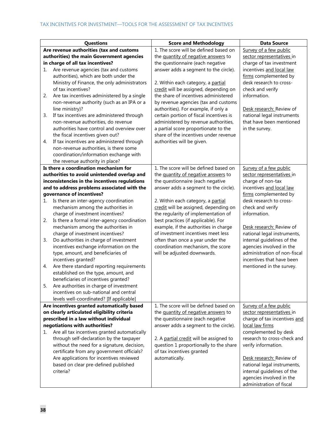|                                          | Questions                                                                       | <b>Score and Methodology</b>            | <b>Data Source</b>           |
|------------------------------------------|---------------------------------------------------------------------------------|-----------------------------------------|------------------------------|
| Are revenue authorities (tax and customs |                                                                                 | 1. The score will be defined based on   | Survey of a few public       |
|                                          | authorities) the main Government agencies                                       | the quantity of negative answers to     | sector representatives in    |
|                                          | in charge of all tax incentives?                                                | the questionnaire (each negative        | charge of tax investment     |
| 1.                                       | Are revenue agencies (tax and customs                                           | answer adds a segment to the circle).   | incentives and local law     |
|                                          | authorities), which are both under the                                          |                                         | firms complemented by        |
|                                          | Ministry of Finance, the only administrators                                    | 2. Within each category, a partial      | desk research to cross-      |
|                                          | of tax incentives?                                                              | credit will be assigned, depending on   | check and verify             |
| 2.                                       | Are tax incentives administered by a single                                     | the share of incentives administered    | information.                 |
|                                          | non-revenue authority (such as an IPA or a                                      | by revenue agencies (tax and customs    |                              |
|                                          | line ministry)?                                                                 | authorities). For example, if only a    | Desk research: Review of     |
| 3.                                       | If tax incentives are administered through                                      | certain portion of fiscal incentives is | national legal instruments   |
|                                          | non-revenue authorities, do revenue                                             | administered by revenue authorities,    | that have been mentioned     |
|                                          | authorities have control and overview over                                      | a partial score proportionate to the    | in the survey.               |
|                                          | the fiscal incentives given out?                                                | share of the incentives under revenue   |                              |
| 4.                                       | If tax incentives are administered through                                      | authorities will be given.              |                              |
|                                          | non-revenue authorities, is there some                                          |                                         |                              |
|                                          | coordination/information exchange with                                          |                                         |                              |
|                                          | the revenue authority in place?                                                 |                                         |                              |
|                                          | Is there a coordination mechanism for                                           | 1. The score will be defined based on   | Survey of a few public       |
|                                          | authorities to avoid unintended overlap and                                     | the quantity of negative answers to     | sector representatives in    |
|                                          | inconsistencies in the incentives regulations                                   | the questionnaire (each negative        | charge of non-tax            |
|                                          | and to address problems associated with the                                     | answer adds a segment to the circle).   | incentives and local law     |
|                                          | governance of incentives?                                                       |                                         | firms complemented by        |
| 1.                                       | Is there an inter-agency coordination                                           | 2. Within each category, a partial      | desk research to cross-      |
|                                          | mechanism among the authorities in                                              | credit will be assigned, depending on   | check and verify             |
|                                          | charge of investment incentives?                                                | the regularity of implementation of     | information.                 |
| 2.                                       | Is there a formal inter-agency coordination                                     | best practices (if applicable). For     |                              |
|                                          | mechanism among the authorities in                                              | example, if the authorities in charge   | Desk research: Review of     |
|                                          | charge of investment incentives?                                                | of investment incentives meet less      | national legal instruments,  |
| 3.                                       | Do authorities in charge of investment                                          | often than once a year under the        | internal guidelines of the   |
|                                          | incentives exchange information on the                                          | coordination mechanism, the score       | agencies involved in the     |
|                                          | type, amount, and beneficiaries of                                              | will be adjusted downwards.             | administration of non-fiscal |
|                                          | incentives granted?                                                             |                                         | incentives that have been    |
| 4.                                       | Are there standard reporting requirements                                       |                                         | mentioned in the survey.     |
|                                          | established on the type, amount, and                                            |                                         |                              |
| 5.                                       | beneficiaries of incentives granted?<br>Are authorities in charge of investment |                                         |                              |
|                                          | incentives on sub-national and central                                          |                                         |                              |
|                                          | levels well-coordinated? [If applicable]                                        |                                         |                              |
|                                          | Are incentives granted automatically based                                      | 1. The score will be defined based on   | Survey of a few public       |
|                                          | on clearly articulated eligibility criteria                                     | the quantity of negative answers to     | sector representatives in    |
|                                          | prescribed in a law without individual                                          | the questionnaire (each negative        | charge of tax incentives and |
|                                          | negotiations with authorities?                                                  | answer adds a segment to the circle).   | local law firms              |
| 1.                                       | Are all tax incentives granted automatically                                    |                                         | complemented by desk         |
|                                          | through self-declaration by the taxpayer                                        | 2. A partial credit will be assigned to | research to cross-check and  |
|                                          | without the need for a signature, decision,                                     | question 1 proportionally to the share  | verify information.          |
|                                          | certificate from any government officials?                                      | of tax incentives granted               |                              |
|                                          | Are applications for incentives reviewed                                        | automatically.                          | Desk research: Review of     |
|                                          | based on clear pre-defined published                                            |                                         | national legal instruments,  |
|                                          | criteria?                                                                       |                                         | internal guidelines of the   |
|                                          |                                                                                 |                                         | agencies involved in the     |
|                                          |                                                                                 |                                         | administration of fiscal     |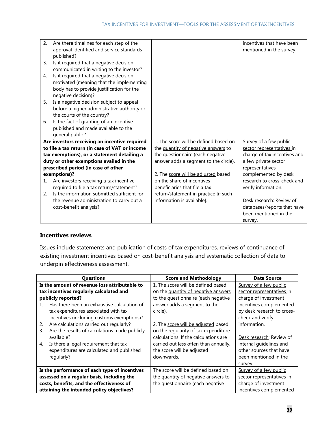| 2.                                             | Are there timelines for each step of the    |                                       | incentives that have been    |
|------------------------------------------------|---------------------------------------------|---------------------------------------|------------------------------|
|                                                | approval identified and service standards   |                                       | mentioned in the survey.     |
|                                                | published?                                  |                                       |                              |
| 3.                                             | Is it required that a negative decision     |                                       |                              |
|                                                | communicated in writing to the investor?    |                                       |                              |
| 4.                                             | Is it required that a negative decision     |                                       |                              |
|                                                | motivated (meaning that the implementing    |                                       |                              |
|                                                | body has to provide justification for the   |                                       |                              |
|                                                | negative decision)?                         |                                       |                              |
| 5.                                             | Is a negative decision subject to appeal    |                                       |                              |
|                                                | before a higher administrative authority or |                                       |                              |
|                                                | the courts of the country?                  |                                       |                              |
| 6.                                             | Is the fact of granting of an incentive     |                                       |                              |
|                                                | published and made available to the         |                                       |                              |
|                                                | general public?                             |                                       |                              |
| Are investors receiving an incentive required  |                                             | 1. The score will be defined based on | Survey of a few public       |
| to file a tax return (in case of VAT or income |                                             | the quantity of negative answers to   | sector representatives in    |
| tax exemptions), or a statement detailing a    |                                             | the questionnaire (each negative      | charge of tax incentives and |
| duty or other exemptions availed in the        |                                             | answer adds a segment to the circle). | a few private sector         |
|                                                | prescribed period (in case of other         |                                       | representatives              |
|                                                | exemptions)?                                | 2. The score will be adjusted based   | complemented by desk         |
| 1.                                             | Are investors receiving a tax incentive     | on the share of incentives            | research to cross-check and  |
|                                                | required to file a tax return/statement?    | beneficiaries that file a tax         | verify information.          |
| 2.                                             | Is the information submitted sufficient for | return/statement in practice [if such |                              |
|                                                | the revenue administration to carry out a   | information is available].            | Desk research: Review of     |
|                                                | cost-benefit analysis?                      |                                       | databases/reports that have  |
|                                                |                                             |                                       | been mentioned in the        |
|                                                |                                             |                                       | survey.                      |

#### **Incentives reviews**

Issues include statements and publication of costs of tax expenditures, reviews of continuance of existing investment incentives based on cost-benefit analysis and systematic collection of data to underpin effectiveness assessment.

| <b>Questions</b>                                    | <b>Score and Methodology</b>          | Data Source                |
|-----------------------------------------------------|---------------------------------------|----------------------------|
| Is the amount of revenue loss attributable to       | 1. The score will be defined based    | Survey of a few public     |
| tax incentives regularly calculated and             | on the quantity of negative answers   | sector representatives in  |
| publicly reported?                                  | to the questionnaire (each negative   | charge of investment       |
| Has there been an exhaustive calculation of<br>1    | answer adds a segment to the          | incentives complemented    |
| tax expenditures associated with tax                | circle).                              | by desk research to cross- |
| incentives (including customs exemptions)?          |                                       | check and verify           |
| Are calculations carried out regularly?<br>2.       | 2. The score will be adjusted based   | information.               |
| Are the results of calculations made publicly<br>3. | on the regularity of tax expenditure  |                            |
| available?                                          | calculations. If the calculations are | Desk research: Review of   |
| Is there a legal requirement that tax<br>4.         | carried out less often than annually, | internal guidelines and    |
| expenditures are calculated and published           | the score will be adjusted            | other sources that have    |
| regularly?                                          | downwards.                            | been mentioned in the      |
|                                                     |                                       | survey.                    |
| Is the performance of each type of incentives       | The score will be defined based on    | Survey of a few public     |
| assessed on a regular basis, including the          | the quantity of negative answers to   | sector representatives in  |
| costs, benefits, and the effectiveness of           | the questionnaire (each negative      | charge of investment       |
| attaining the intended policy objectives?           |                                       | incentives complemented    |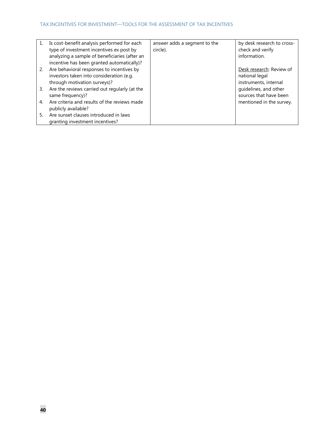| 1. | Is cost-benefit analysis performed for each   | answer adds a segment to the | by desk research to cross- |
|----|-----------------------------------------------|------------------------------|----------------------------|
|    | type of investment incentives ex post by      | circle).                     | check and verify           |
|    | analyzing a sample of beneficiaries (after an |                              | information.               |
|    | incentive has been granted automatically)?    |                              |                            |
| 2. | Are behavioral responses to incentives by     |                              | Desk research: Review of   |
|    | investors taken into consideration (e.g.      |                              | national legal             |
|    | through motivation surveys)?                  |                              | instruments, internal      |
| 3. | Are the reviews carried out regularly (at the |                              | quidelines, and other      |
|    | same frequency)?                              |                              | sources that have been     |
| 4. | Are criteria and results of the reviews made  |                              | mentioned in the survey.   |
|    | publicly available?                           |                              |                            |
| 5. | Are sunset clauses introduced in laws         |                              |                            |
|    | granting investment incentives?               |                              |                            |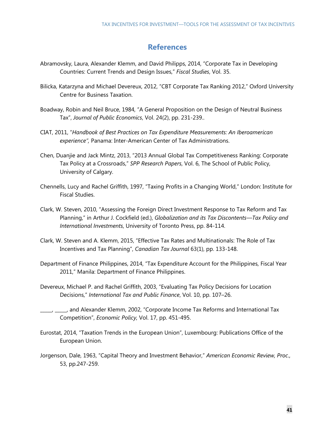# **References**

- Abramovsky, Laura, Alexander Klemm, and David Philipps, 2014, "Corporate Tax in Developing Countries: Current Trends and Design Issues," *Fiscal Studies*, Vol. 35.
- Bilicka, Katarzyna and Michael Devereux, 2012, "CBT Corporate Tax Ranking 2012," Oxford University Centre for Business Taxation.
- Boadway, Robin and Neil Bruce, 1984, "A General Proposition on the Design of Neutral Business Tax", *Journal of Public Economics*, Vol. 24(2), pp. 231-239..
- CIAT, 2011, "*Handbook of Best Practices on Tax Expenditure Measurements: An Iberoamerican experience",* Panama: Inter-American Center of Tax Administrations.
- Chen, Duanjie and Jack Mintz, 2013, "2013 Annual Global Tax Competitiveness Ranking: Corporate Tax Policy at a Crossroads," *SPP Research Papers*, Vol. 6, The School of Public Policy, University of Calgary.
- Chennells, Lucy and Rachel Griffith, 1997, "Taxing Profits in a Changing World," London: Institute for Fiscal Studies.
- Clark, W. Steven, 2010, "Assessing the Foreign Direct Investment Response to Tax Reform and Tax Planning," in Arthur J. Cockfield (ed.), *Globalization and its Tax Discontents—Tax Policy and International Investments*, University of Toronto Press, pp. 84-114.
- Clark, W. Steven and A. Klemm, 2015, "Effective Tax Rates and Multinationals: The Role of Tax Incentives and Tax Planning", *Canadian Tax Journal* 63(1), pp. 133-148.
- Department of Finance Philippines, 2014, "Tax Expenditure Account for the Philippines, Fiscal Year 2011," Manila: Department of Finance Philippines.
- Devereux, Michael P. and Rachel Griffith, 2003, "Evaluating Tax Policy Decisions for Location Decisions," *International Tax and Public Finance*, Vol. 10, pp. 107–26.
- \_\_\_\_\_, \_\_\_\_\_, and Alexander Klemm, 2002, "Corporate Income Tax Reforms and International Tax Competition", *Economic Policy,* Vol. 17, pp. 451-495.
- Eurostat, 2014, "Taxation Trends in the European Union", Luxembourg: Publications Office of the European Union.
- Jorgenson, Dale, 1963, "Capital Theory and Investment Behavior," *American Economic Review, Proc*., 53, pp.247-259.